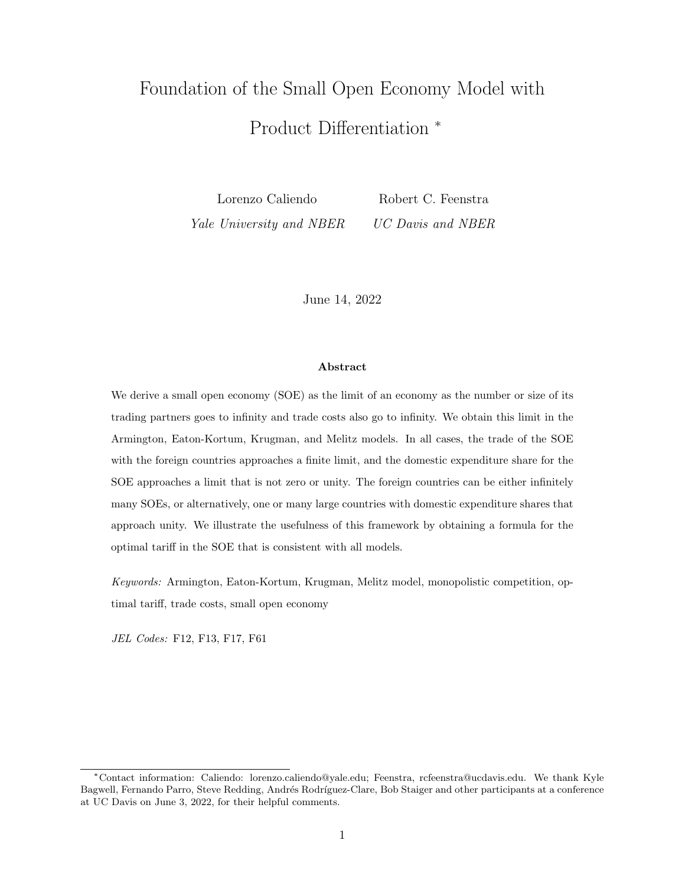# Foundation of the Small Open Economy Model with Product Differentiation \*

Lorenzo Caliendo Robert C. Feenstra Yale University and NBER UC Davis and NBER

June 14, 2022

#### Abstract

We derive a small open economy (SOE) as the limit of an economy as the number or size of its trading partners goes to infinity and trade costs also go to infinity. We obtain this limit in the Armington, Eaton-Kortum, Krugman, and Melitz models. In all cases, the trade of the SOE with the foreign countries approaches a finite limit, and the domestic expenditure share for the SOE approaches a limit that is not zero or unity. The foreign countries can be either infinitely many SOEs, or alternatively, one or many large countries with domestic expenditure shares that approach unity. We illustrate the usefulness of this framework by obtaining a formula for the optimal tariff in the SOE that is consistent with all models.

Keywords: Armington, Eaton-Kortum, Krugman, Melitz model, monopolistic competition, optimal tariff, trade costs, small open economy

JEL Codes: F12, F13, F17, F61

<sup>\*</sup>Contact information: Caliendo: lorenzo.caliendo@yale.edu; Feenstra, rcfeenstra@ucdavis.edu. We thank Kyle Bagwell, Fernando Parro, Steve Redding, Andrés Rodríguez-Clare, Bob Staiger and other participants at a conference at UC Davis on June 3, 2022, for their helpful comments.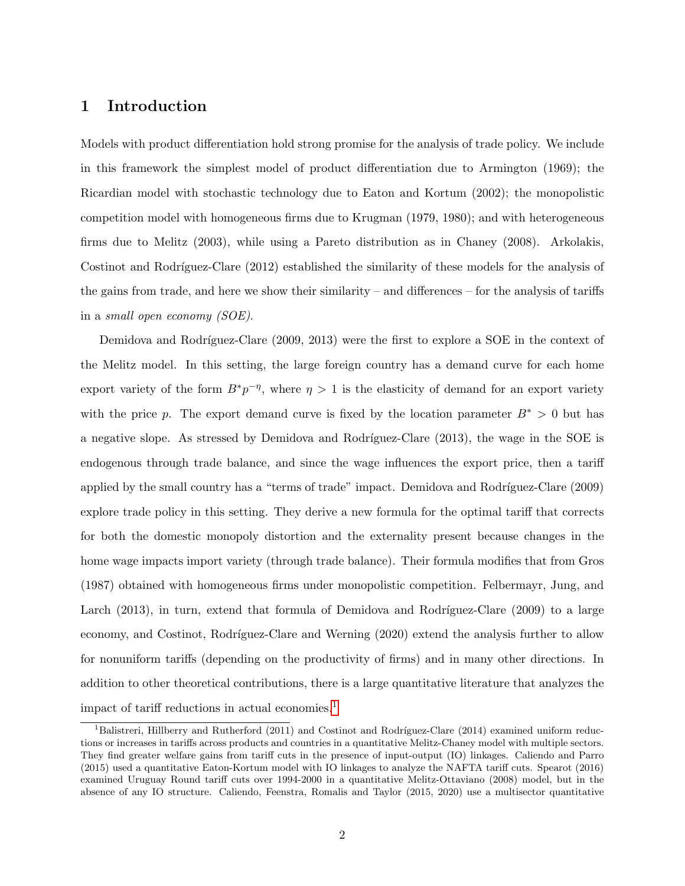# <span id="page-1-1"></span>1 Introduction

Models with product differentiation hold strong promise for the analysis of trade policy. We include in this framework the simplest model of product differentiation due to Armington (1969); the Ricardian model with stochastic technology due to Eaton and Kortum (2002); the monopolistic competition model with homogeneous firms due to Krugman (1979, 1980); and with heterogeneous firms due to Melitz (2003), while using a Pareto distribution as in Chaney (2008). Arkolakis, Costinot and Rodríguez-Clare (2012) established the similarity of these models for the analysis of the gains from trade, and here we show their similarity – and differences – for the analysis of tariffs in a small open economy (SOE).

Demidova and Rodríguez-Clare (2009, 2013) were the first to explore a SOE in the context of the Melitz model. In this setting, the large foreign country has a demand curve for each home export variety of the form  $B^*p^{-\eta}$ , where  $\eta > 1$  is the elasticity of demand for an export variety with the price p. The export demand curve is fixed by the location parameter  $B^* > 0$  but has a negative slope. As stressed by Demidova and Rodríguez-Clare  $(2013)$ , the wage in the SOE is endogenous through trade balance, and since the wage influences the export price, then a tariff applied by the small country has a "terms of trade" impact. Demidova and Rodríguez-Clare (2009) explore trade policy in this setting. They derive a new formula for the optimal tariff that corrects for both the domestic monopoly distortion and the externality present because changes in the home wage impacts import variety (through trade balance). Their formula modifies that from Gros (1987) obtained with homogeneous firms under monopolistic competition. Felbermayr, Jung, and Larch  $(2013)$ , in turn, extend that formula of Demidova and Rodríguez-Clare  $(2009)$  to a large economy, and Costinot, Rodríguez-Clare and Werning (2020) extend the analysis further to allow for nonuniform tariffs (depending on the productivity of firms) and in many other directions. In addition to other theoretical contributions, there is a large quantitative literature that analyzes the impact of tariff reductions in actual economies.<sup>[1](#page-1-0)</sup>

<span id="page-1-0"></span><sup>&</sup>lt;sup>1</sup>Balistreri, Hillberry and Rutherford (2011) and Costinot and Rodríguez-Clare (2014) examined uniform reductions or increases in tariffs across products and countries in a quantitative Melitz-Chaney model with multiple sectors. They find greater welfare gains from tariff cuts in the presence of input-output (IO) linkages. Caliendo and Parro (2015) used a quantitative Eaton-Kortum model with IO linkages to analyze the NAFTA tariff cuts. Spearot (2016) examined Uruguay Round tariff cuts over 1994-2000 in a quantitative Melitz-Ottaviano (2008) model, but in the absence of any IO structure. Caliendo, Feenstra, Romalis and Taylor (2015, 2020) use a multisector quantitative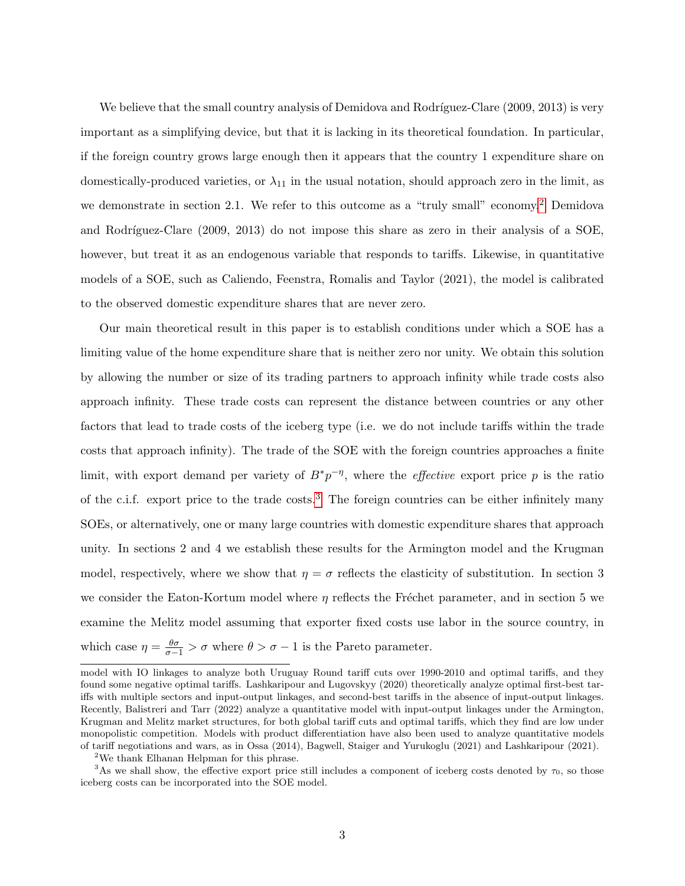We believe that the small country analysis of Demidova and Rodríguez-Clare (2009, 2013) is very important as a simplifying device, but that it is lacking in its theoretical foundation. In particular, if the foreign country grows large enough then it appears that the country 1 expenditure share on domestically-produced varieties, or  $\lambda_{11}$  in the usual notation, should approach zero in the limit, as we demonstrate in section 2.1. We refer to this outcome as a "truly small" economy.[2](#page-2-0) Demidova and Rodríguez-Clare (2009, 2013) do not impose this share as zero in their analysis of a SOE, however, but treat it as an endogenous variable that responds to tariffs. Likewise, in quantitative models of a SOE, such as Caliendo, Feenstra, Romalis and Taylor (2021), the model is calibrated to the observed domestic expenditure shares that are never zero.

Our main theoretical result in this paper is to establish conditions under which a SOE has a limiting value of the home expenditure share that is neither zero nor unity. We obtain this solution by allowing the number or size of its trading partners to approach infinity while trade costs also approach infinity. These trade costs can represent the distance between countries or any other factors that lead to trade costs of the iceberg type (i.e. we do not include tariffs within the trade costs that approach infinity). The trade of the SOE with the foreign countries approaches a finite limit, with export demand per variety of  $B^*p^{-\eta}$ , where the *effective* export price p is the ratio of the c.i.f. export price to the trade costs.[3](#page-2-1) The foreign countries can be either infinitely many SOEs, or alternatively, one or many large countries with domestic expenditure shares that approach unity. In sections 2 and 4 we establish these results for the Armington model and the Krugman model, respectively, where we show that  $\eta = \sigma$  reflects the elasticity of substitution. In section 3 we consider the Eaton-Kortum model where  $\eta$  reflects the Fréchet parameter, and in section 5 we examine the Melitz model assuming that exporter fixed costs use labor in the source country, in which case  $\eta = \frac{\theta \sigma}{\sigma - 1} > \sigma$  where  $\theta > \sigma - 1$  is the Pareto parameter.

model with IO linkages to analyze both Uruguay Round tariff cuts over 1990-2010 and optimal tariffs, and they found some negative optimal tariffs. Lashkaripour and Lugovskyy (2020) theoretically analyze optimal first-best tariffs with multiple sectors and input-output linkages, and second-best tariffs in the absence of input-output linkages. Recently, Balistreri and Tarr (2022) analyze a quantitative model with input-output linkages under the Armington, Krugman and Melitz market structures, for both global tariff cuts and optimal tariffs, which they find are low under monopolistic competition. Models with product differentiation have also been used to analyze quantitative models of tariff negotiations and wars, as in Ossa (2014), Bagwell, Staiger and Yurukoglu (2021) and Lashkaripour (2021).

<span id="page-2-1"></span><span id="page-2-0"></span><sup>2</sup>We thank Elhanan Helpman for this phrase.

<sup>&</sup>lt;sup>3</sup>As we shall show, the effective export price still includes a component of iceberg costs denoted by  $\tau_0$ , so those iceberg costs can be incorporated into the SOE model.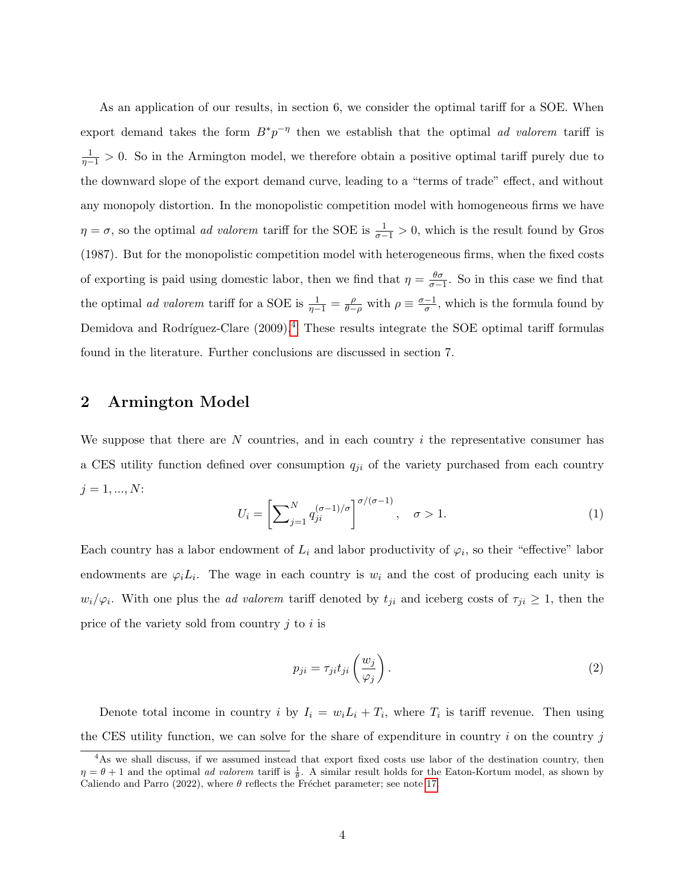As an application of our results, in section 6, we consider the optimal tariff for a SOE. When export demand takes the form  $B^*p^{-\eta}$  then we establish that the optimal *ad valorem* tariff is  $\frac{1}{\eta-1} > 0$ . So in the Armington model, we therefore obtain a positive optimal tariff purely due to the downward slope of the export demand curve, leading to a "terms of trade" effect, and without any monopoly distortion. In the monopolistic competition model with homogeneous firms we have  $\eta = \sigma$ , so the optimal *ad valorem* tariff for the SOE is  $\frac{1}{\sigma-1} > 0$ , which is the result found by Gros (1987). But for the monopolistic competition model with heterogeneous firms, when the fixed costs of exporting is paid using domestic labor, then we find that  $\eta = \frac{\theta \sigma}{\sigma - 1}$ . So in this case we find that the optimal *ad valorem* tariff for a SOE is  $\frac{1}{\eta-1} = \frac{\rho}{\theta-1}$  $\frac{\rho}{\theta-\rho}$  with  $\rho \equiv \frac{\sigma-1}{\sigma}$  $\frac{-1}{\sigma}$ , which is the formula found by Demidova and Rodríguez-Clare  $(2009).<sup>4</sup>$  $(2009).<sup>4</sup>$  $(2009).<sup>4</sup>$  These results integrate the SOE optimal tariff formulas found in the literature. Further conclusions are discussed in section 7.

# 2 Armington Model

We suppose that there are N countries, and in each country  $i$  the representative consumer has a CES utility function defined over consumption  $q_{ji}$  of the variety purchased from each country  $j = 1, ..., N$ :

$$
U_i = \left[\sum_{j=1}^{N} q_{ji}^{(\sigma-1)/\sigma}\right]^{\sigma/(\sigma-1)}, \quad \sigma > 1.
$$
 (1)

Each country has a labor endowment of  $L_i$  and labor productivity of  $\varphi_i$ , so their "effective" labor endowments are  $\varphi_i L_i$ . The wage in each country is  $w_i$  and the cost of producing each unity is  $w_i/\varphi_i$ . With one plus the *ad valorem* tariff denoted by  $t_{ji}$  and iceberg costs of  $\tau_{ji} \geq 1$ , then the price of the variety sold from country  $j$  to  $i$  is

<span id="page-3-1"></span>
$$
p_{ji} = \tau_{ji} t_{ji} \left(\frac{w_j}{\varphi_j}\right). \tag{2}
$$

Denote total income in country i by  $I_i = w_i L_i + T_i$ , where  $T_i$  is tariff revenue. Then using the CES utility function, we can solve for the share of expenditure in country  $i$  on the country  $j$ 

<span id="page-3-0"></span><sup>&</sup>lt;sup>4</sup>As we shall discuss, if we assumed instead that export fixed costs use labor of the destination country, then  $\eta = \theta + 1$  and the optimal *ad valorem* tariff is  $\frac{1}{\theta}$ . A similar result holds for the Eaton-Kortum model, as shown by Caliendo and Parro (2022), where  $\theta$  reflects the Fréchet parameter; see note [17.](#page-34-0)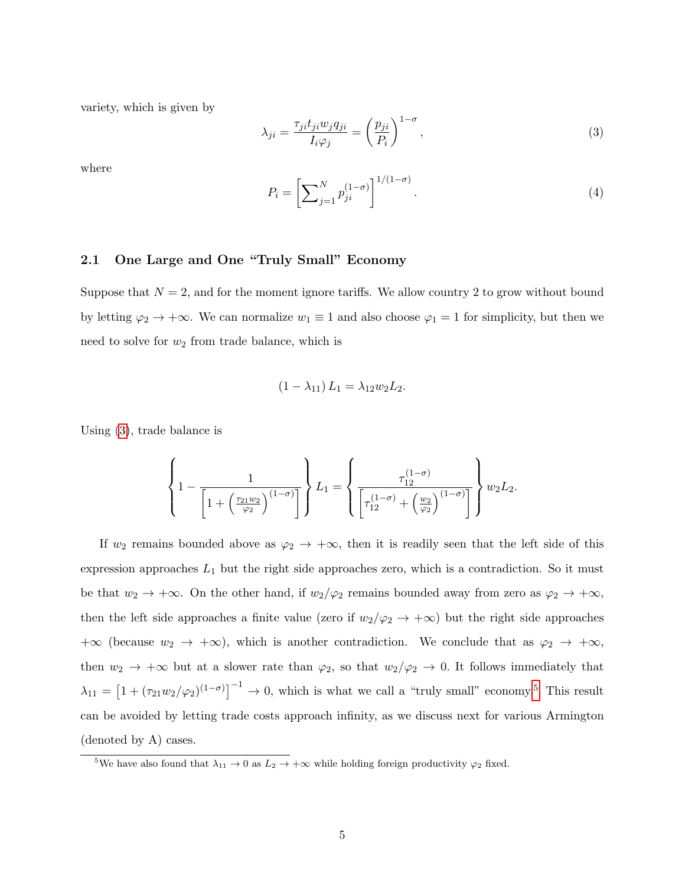variety, which is given by

<span id="page-4-0"></span>
$$
\lambda_{ji} = \frac{\tau_{ji} t_{ji} w_j q_{ji}}{I_i \varphi_j} = \left(\frac{p_{ji}}{P_i}\right)^{1-\sigma},\tag{3}
$$

where

$$
P_i = \left[\sum_{j=1}^{N} p_{ji}^{(1-\sigma)}\right]^{1/(1-\sigma)}.
$$
\n(4)

#### <span id="page-4-2"></span>2.1 One Large and One "Truly Small" Economy

Suppose that  $N = 2$ , and for the moment ignore tariffs. We allow country 2 to grow without bound by letting  $\varphi_2 \to +\infty$ . We can normalize  $w_1 \equiv 1$  and also choose  $\varphi_1 = 1$  for simplicity, but then we need to solve for  $w_2$  from trade balance, which is

$$
(1 - \lambda_{11}) L_1 = \lambda_{12} w_2 L_2.
$$

Using [\(3\)](#page-4-0), trade balance is

$$
\left\{1 - \frac{1}{\left[1 + \left(\frac{\tau_{21}w_2}{\varphi_2}\right)^{(1-\sigma)}\right]}\right\} L_1 = \left\{\frac{\tau_{12}^{(1-\sigma)}}{\left[\tau_{12}^{(1-\sigma)} + \left(\frac{w_2}{\varphi_2}\right)^{(1-\sigma)}\right]}\right\} w_2 L_2.
$$

If  $w_2$  remains bounded above as  $\varphi_2 \to +\infty$ , then it is readily seen that the left side of this expression approaches  $L_1$  but the right side approaches zero, which is a contradiction. So it must be that  $w_2 \to +\infty$ . On the other hand, if  $w_2/\varphi_2$  remains bounded away from zero as  $\varphi_2 \to +\infty$ , then the left side approaches a finite value (zero if  $w_2/\varphi_2 \to +\infty$ ) but the right side approaches  $+\infty$  (because  $w_2 \to +\infty$ ), which is another contradiction. We conclude that as  $\varphi_2 \to +\infty$ , then  $w_2 \to +\infty$  but at a slower rate than  $\varphi_2$ , so that  $w_2/\varphi_2 \to 0$ . It follows immediately that  $\lambda_{11} = \left[1 + (\tau_{21}w_2/\varphi_2)^{(1-\sigma)}\right]^{-1} \to 0$ , which is what we call a "truly small" economy.<sup>[5](#page-4-1)</sup> This result can be avoided by letting trade costs approach infinity, as we discuss next for various Armington (denoted by A) cases.

<span id="page-4-1"></span><sup>&</sup>lt;sup>5</sup>We have also found that  $\lambda_{11} \rightarrow 0$  as  $L_2 \rightarrow +\infty$  while holding foreign productivity  $\varphi_2$  fixed.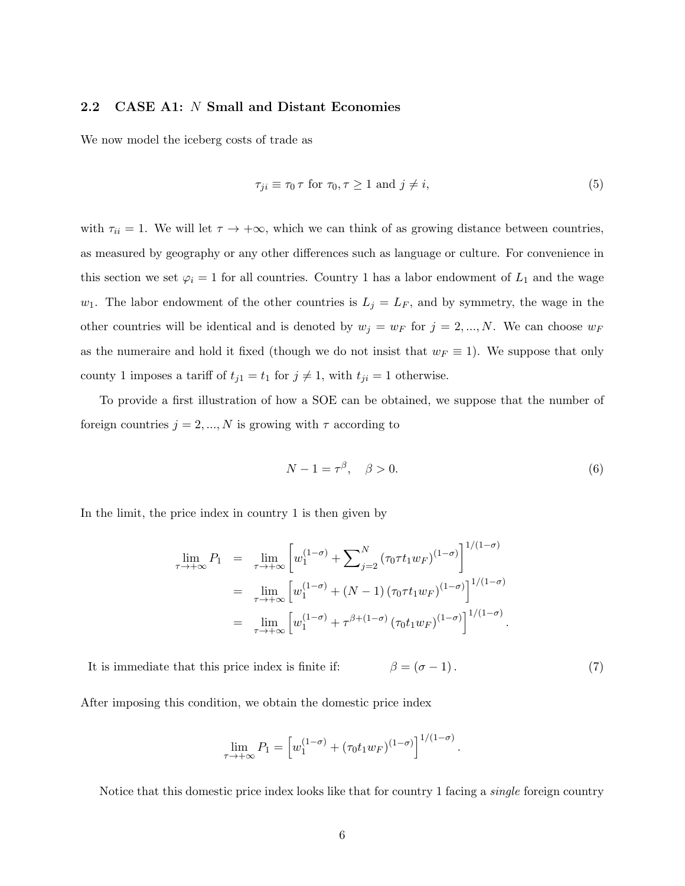### <span id="page-5-3"></span>2.2 CASE A1: N Small and Distant Economies

We now model the iceberg costs of trade as

<span id="page-5-2"></span>
$$
\tau_{ji} \equiv \tau_0 \,\tau \text{ for } \tau_0, \tau \ge 1 \text{ and } j \ne i,
$$
\n
$$
(5)
$$

with  $\tau_{ii} = 1$ . We will let  $\tau \to +\infty$ , which we can think of as growing distance between countries, as measured by geography or any other differences such as language or culture. For convenience in this section we set  $\varphi_i = 1$  for all countries. Country 1 has a labor endowment of  $L_1$  and the wage  $w_1$ . The labor endowment of the other countries is  $L_j = L_F$ , and by symmetry, the wage in the other countries will be identical and is denoted by  $w_j = w_F$  for  $j = 2, ..., N$ . We can choose  $w_F$ as the numeraire and hold it fixed (though we do not insist that  $w_F \equiv 1$ ). We suppose that only county 1 imposes a tariff of  $t_{j1} = t_1$  for  $j \neq 1$ , with  $t_{ji} = 1$  otherwise.

To provide a first illustration of how a SOE can be obtained, we suppose that the number of foreign countries  $j = 2, ..., N$  is growing with  $\tau$  according to

<span id="page-5-0"></span>
$$
N - 1 = \tau^{\beta}, \quad \beta > 0. \tag{6}
$$

In the limit, the price index in country 1 is then given by

$$
\lim_{\tau \to +\infty} P_1 = \lim_{\tau \to +\infty} \left[ w_1^{(1-\sigma)} + \sum_{j=2}^N (\tau_0 \tau t_1 w_F)^{(1-\sigma)} \right]^{1/(1-\sigma)}
$$
\n
$$
= \lim_{\tau \to +\infty} \left[ w_1^{(1-\sigma)} + (N-1) (\tau_0 \tau t_1 w_F)^{(1-\sigma)} \right]^{1/(1-\sigma)}
$$
\n
$$
= \lim_{\tau \to +\infty} \left[ w_1^{(1-\sigma)} + \tau^{\beta + (1-\sigma)} (\tau_0 t_1 w_F)^{(1-\sigma)} \right]^{1/(1-\sigma)}.
$$

<span id="page-5-1"></span>It is immediate that this price index is finite if:  $\beta = (\sigma - 1)$ . (7)

After imposing this condition, we obtain the domestic price index

$$
\lim_{\tau \to +\infty} P_1 = \left[ w_1^{(1-\sigma)} + (\tau_0 t_1 w_F)^{(1-\sigma)} \right]^{1/(1-\sigma)}.
$$

Notice that this domestic price index looks like that for country 1 facing a single foreign country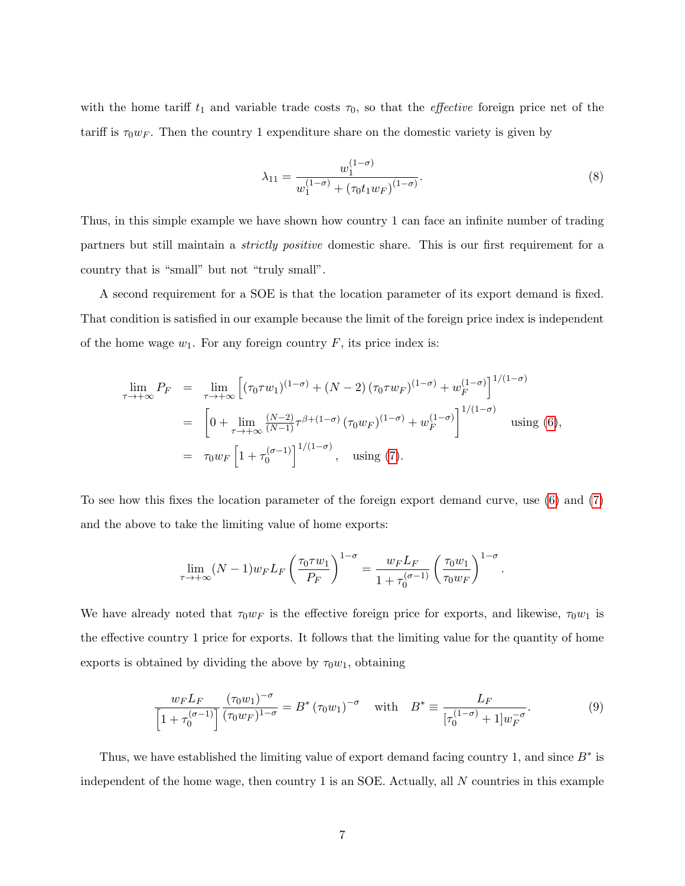with the home tariff  $t_1$  and variable trade costs  $\tau_0$ , so that the *effective* foreign price net of the tariff is  $\tau_0 w_F$ . Then the country 1 expenditure share on the domestic variety is given by

<span id="page-6-0"></span>
$$
\lambda_{11} = \frac{w_1^{(1-\sigma)}}{w_1^{(1-\sigma)} + (\tau_0 t_1 w_F)^{(1-\sigma)}}.
$$
\n(8)

Thus, in this simple example we have shown how country 1 can face an infinite number of trading partners but still maintain a strictly positive domestic share. This is our first requirement for a country that is "small" but not "truly small".

A second requirement for a SOE is that the location parameter of its export demand is fixed. That condition is satisfied in our example because the limit of the foreign price index is independent of the home wage  $w_1$ . For any foreign country F, its price index is:

$$
\lim_{\tau \to +\infty} P_F = \lim_{\tau \to +\infty} \left[ (\tau_0 \tau w_1)^{(1-\sigma)} + (N-2) (\tau_0 \tau w_F)^{(1-\sigma)} + w_F^{(1-\sigma)} \right]^{1/(1-\sigma)}
$$
  
\n
$$
= \left[ 0 + \lim_{\tau \to +\infty} \frac{(N-2)}{(N-1)} \tau^{\beta + (1-\sigma)} (\tau_0 w_F)^{(1-\sigma)} + w_F^{(1-\sigma)} \right]^{1/(1-\sigma)} \text{ using (6)},
$$
  
\n
$$
= \tau_0 w_F \left[ 1 + \tau_0^{(\sigma-1)} \right]^{1/(1-\sigma)}, \text{ using (7)}.
$$

To see how this fixes the location parameter of the foreign export demand curve, use [\(6\)](#page-5-0) and [\(7\)](#page-5-1) and the above to take the limiting value of home exports:

$$
\lim_{\tau \to +\infty} (N-1) w_F L_F \left(\frac{\tau_0 \tau w_1}{P_F}\right)^{1-\sigma} = \frac{w_F L_F}{1+\tau_0^{(\sigma-1)}} \left(\frac{\tau_0 w_1}{\tau_0 w_F}\right)^{1-\sigma}.
$$

We have already noted that  $\tau_0 w_F$  is the effective foreign price for exports, and likewise,  $\tau_0 w_1$  is the effective country 1 price for exports. It follows that the limiting value for the quantity of home exports is obtained by dividing the above by  $\tau_0w_1$ , obtaining

<span id="page-6-1"></span>
$$
\frac{w_F L_F}{\left[1 + \tau_0^{(\sigma - 1)}\right]} \frac{(\tau_0 w_1)^{-\sigma}}{(\tau_0 w_F)^{1 - \sigma}} = B^* \left(\tau_0 w_1\right)^{-\sigma} \quad \text{with} \quad B^* \equiv \frac{L_F}{\left[\tau_0^{(1 - \sigma)} + 1\right] w_F^{-\sigma}}. \tag{9}
$$

Thus, we have established the limiting value of export demand facing country 1, and since  $B^*$  is independent of the home wage, then country  $1$  is an SOE. Actually, all  $N$  countries in this example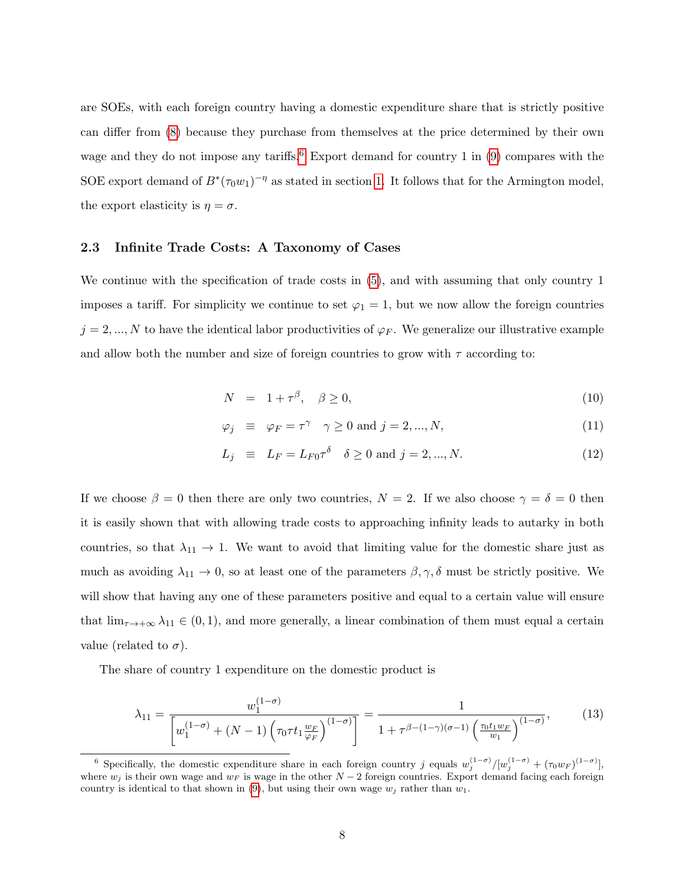are SOEs, with each foreign country having a domestic expenditure share that is strictly positive can differ from [\(8\)](#page-6-0) because they purchase from themselves at the price determined by their own wage and they do not impose any tariffs.<sup>[6](#page-7-0)</sup> Export demand for country 1 in  $(9)$  compares with the SOE export demand of  $B^*(\tau_0w_1)^{-\eta}$  as stated in section [1.](#page-1-1) It follows that for the Armington model, the export elasticity is  $\eta = \sigma$ .

#### 2.3 Infinite Trade Costs: A Taxonomy of Cases

We continue with the specification of trade costs in [\(5\)](#page-5-2), and with assuming that only country 1 imposes a tariff. For simplicity we continue to set  $\varphi_1 = 1$ , but we now allow the foreign countries  $j = 2, ..., N$  to have the identical labor productivities of  $\varphi_F$ . We generalize our illustrative example and allow both the number and size of foreign countries to grow with  $\tau$  according to:

<span id="page-7-1"></span>
$$
N = 1 + \tau^{\beta}, \quad \beta \ge 0,\tag{10}
$$

$$
\varphi_j \equiv \varphi_F = \tau^\gamma \quad \gamma \ge 0 \text{ and } j = 2, ..., N,
$$
\n(11)

$$
L_j \equiv L_F = L_{F0} \tau^{\delta} \quad \delta \ge 0 \text{ and } j = 2, ..., N. \tag{12}
$$

If we choose  $\beta = 0$  then there are only two countries,  $N = 2$ . If we also choose  $\gamma = \delta = 0$  then it is easily shown that with allowing trade costs to approaching infinity leads to autarky in both countries, so that  $\lambda_{11} \rightarrow 1$ . We want to avoid that limiting value for the domestic share just as much as avoiding  $\lambda_{11} \to 0$ , so at least one of the parameters  $\beta, \gamma, \delta$  must be strictly positive. We will show that having any one of these parameters positive and equal to a certain value will ensure that  $\lim_{\tau\to+\infty}\lambda_{11}\in(0,1)$ , and more generally, a linear combination of them must equal a certain value (related to  $\sigma$ ).

The share of country 1 expenditure on the domestic product is

<span id="page-7-2"></span>
$$
\lambda_{11} = \frac{w_1^{(1-\sigma)}}{\left[w_1^{(1-\sigma)} + (N-1)\left(\tau_0 \tau t_1 \frac{w_F}{\varphi_F}\right)^{(1-\sigma)}\right]} = \frac{1}{1 + \tau^{\beta - (1-\gamma)(\sigma-1)}\left(\frac{\tau_0 t_1 w_F}{w_1}\right)^{(1-\sigma)}},\tag{13}
$$

<span id="page-7-0"></span><sup>&</sup>lt;sup>6</sup> Specifically, the domestic expenditure share in each foreign country j equals  $w_j^{(1-\sigma)}/[w_j^{(1-\sigma)} + (\tau_0 w_F)^{(1-\sigma)}]$ , where  $w_j$  is their own wage and  $w_F$  is wage in the other  $N-2$  foreign countries. Export demand facing each foreign country is identical to that shown in [\(9\)](#page-6-1), but using their own wage  $w_i$  rather than  $w_1$ .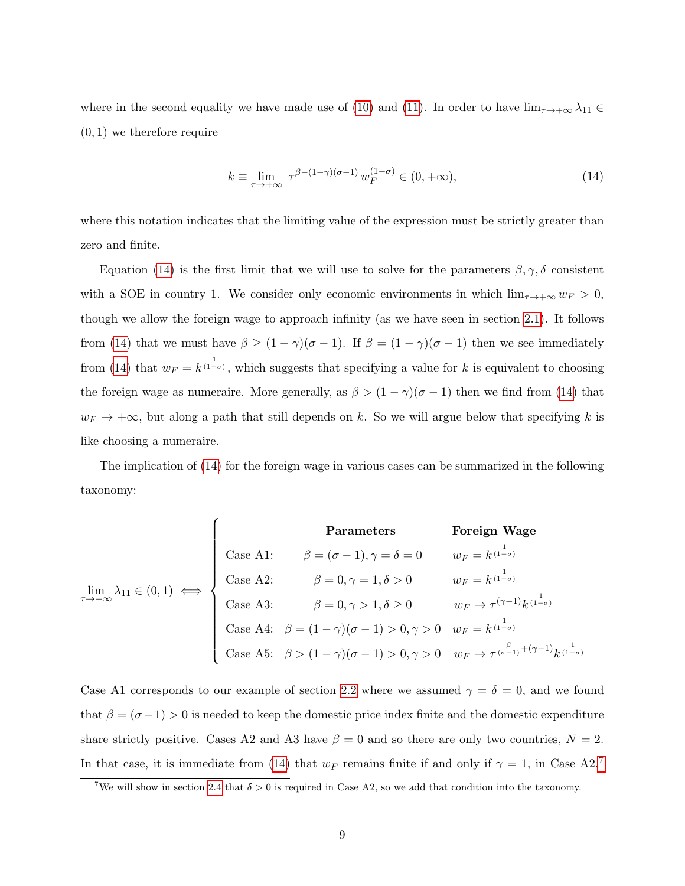where in the second equality we have made use of [\(10\)](#page-7-1) and [\(11\)](#page-7-1). In order to have  $\lim_{\tau\to+\infty}\lambda_{11}\in$  $(0, 1)$  we therefore require

<span id="page-8-0"></span>
$$
k \equiv \lim_{\tau \to +\infty} \tau^{\beta - (1-\gamma)(\sigma - 1)} w_F^{(1-\sigma)} \in (0, +\infty), \tag{14}
$$

where this notation indicates that the limiting value of the expression must be strictly greater than zero and finite.

Equation [\(14\)](#page-8-0) is the first limit that we will use to solve for the parameters  $\beta, \gamma, \delta$  consistent with a SOE in country 1. We consider only economic environments in which  $\lim_{\tau \to +\infty} w_F > 0$ , though we allow the foreign wage to approach infinity (as we have seen in section [2.1\)](#page-4-2). It follows from [\(14\)](#page-8-0) that we must have  $\beta \ge (1 - \gamma)(\sigma - 1)$ . If  $\beta = (1 - \gamma)(\sigma - 1)$  then we see immediately from [\(14\)](#page-8-0) that  $w_F = k^{\frac{1}{(1-\sigma)}}$ , which suggests that specifying a value for k is equivalent to choosing the foreign wage as numeraire. More generally, as  $\beta > (1 - \gamma)(\sigma - 1)$  then we find from [\(14\)](#page-8-0) that  $w_F \to +\infty$ , but along a path that still depends on k. So we will argue below that specifying k is like choosing a numeraire.

The implication of [\(14\)](#page-8-0) for the foreign wage in various cases can be summarized in the following taxonomy:

| Parameters                                       | Foreign wage          |                                                                                                                                                                                                                                                                                                                                                                                                                                                                                                                                                                                                                          |
|--------------------------------------------------|-----------------------|--------------------------------------------------------------------------------------------------------------------------------------------------------------------------------------------------------------------------------------------------------------------------------------------------------------------------------------------------------------------------------------------------------------------------------------------------------------------------------------------------------------------------------------------------------------------------------------------------------------------------|
| $\lim_{\tau \to +\infty} \lambda_{11} \in (0,1)$ | $\Longleftrightarrow$ | $\left\{\n \begin{array}{ll}\n \text{Case A1:} & \beta = (\sigma - 1), \gamma = \delta = 0 & w_F = k^{\frac{1}{(1-\sigma)}} \\ \text{Case A2:} & \beta = 0, \gamma = 1, \delta > 0 & w_F = k^{\frac{1}{(1-\sigma)}} \\ \text{Case A3:} & \beta = 0, \gamma > 1, \delta \ge 0 & w_F \to \tau^{(\gamma-1)} k^{\frac{1}{(1-\sigma)}} \\ \text{Case A4:} & \beta = (1 - \gamma)(\sigma - 1) > 0, \gamma > 0 & w_F = k^{\frac{1}{(1-\sigma)}} \\ \text{Case A5:} & \beta > (1 - \gamma)(\sigma - 1) > 0, \gamma > 0 & w_F \to \tau^{\frac{\beta}{(\sigma-1)} + (\gamma-1)} k^{\frac{1}{(1-\sigma)}}\n \end{array}\n \right\}$ |

Case A1 corresponds to our example of section [2.2](#page-5-3) where we assumed  $\gamma = \delta = 0$ , and we found that  $\beta = (\sigma - 1) > 0$  is needed to keep the domestic price index finite and the domestic expenditure share strictly positive. Cases A2 and A3 have  $\beta = 0$  and so there are only two countries,  $N = 2$ . In that case, it is immediate from [\(14\)](#page-8-0) that  $w_F$  remains finite if and only if  $\gamma = 1$ , in Case A2.<sup>[7](#page-8-1)</sup>

<span id="page-8-1"></span><sup>&</sup>lt;sup>7</sup>We will show in section [2.4](#page-12-0) that  $\delta > 0$  is required in Case A2, so we add that condition into the taxonomy.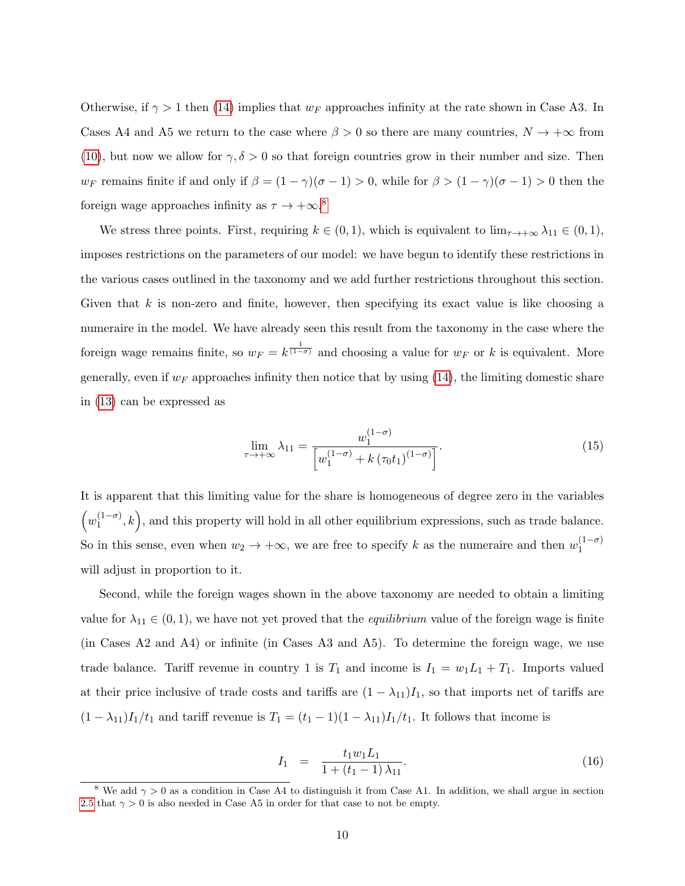Otherwise, if  $\gamma > 1$  then [\(14\)](#page-8-0) implies that  $w_F$  approaches infinity at the rate shown in Case A3. In Cases A4 and A5 we return to the case where  $\beta > 0$  so there are many countries,  $N \to +\infty$  from [\(10\)](#page-7-1), but now we allow for  $\gamma, \delta > 0$  so that foreign countries grow in their number and size. Then w<sub>F</sub> remains finite if and only if  $\beta = (1 - \gamma)(\sigma - 1) > 0$ , while for  $\beta > (1 - \gamma)(\sigma - 1) > 0$  then the foreign wage approaches infinity as  $\tau \to +\infty$ .<sup>[8](#page-9-0)</sup>

We stress three points. First, requiring  $k \in (0,1)$ , which is equivalent to  $\lim_{\tau \to +\infty} \lambda_{11} \in (0,1)$ , imposes restrictions on the parameters of our model: we have begun to identify these restrictions in the various cases outlined in the taxonomy and we add further restrictions throughout this section. Given that  $k$  is non-zero and finite, however, then specifying its exact value is like choosing a numeraire in the model. We have already seen this result from the taxonomy in the case where the foreign wage remains finite, so  $w_F = k^{\frac{1}{(1-\sigma)}}$  and choosing a value for  $w_F$  or k is equivalent. More generally, even if  $w_F$  approaches infinity then notice that by using [\(14\)](#page-8-0), the limiting domestic share in [\(13\)](#page-7-2) can be expressed as

<span id="page-9-2"></span>
$$
\lim_{\tau \to +\infty} \lambda_{11} = \frac{w_1^{(1-\sigma)}}{\left[w_1^{(1-\sigma)} + k\left(\tau_0 t_1\right)^{(1-\sigma)}\right]}.
$$
\n(15)

It is apparent that this limiting value for the share is homogeneous of degree zero in the variables  $\left(w_1^{(1-\sigma)}\right)$  $\binom{(1-\sigma)}{1}, k$ , and this property will hold in all other equilibrium expressions, such as trade balance. So in this sense, even when  $w_2 \to +\infty$ , we are free to specify k as the numeraire and then  $w_1^{(1-\sigma)}$ 1 will adjust in proportion to it.

Second, while the foreign wages shown in the above taxonomy are needed to obtain a limiting value for  $\lambda_{11} \in (0,1)$ , we have not yet proved that the *equilibrium* value of the foreign wage is finite (in Cases A2 and A4) or infinite (in Cases A3 and A5). To determine the foreign wage, we use trade balance. Tariff revenue in country 1 is  $T_1$  and income is  $I_1 = w_1 L_1 + T_1$ . Imports valued at their price inclusive of trade costs and tariffs are  $(1 - \lambda_{11})I_1$ , so that imports net of tariffs are  $(1 - \lambda_{11})I_1/t_1$  and tariff revenue is  $T_1 = (t_1 - 1)(1 - \lambda_{11})I_1/t_1$ . It follows that income is

<span id="page-9-1"></span>
$$
I_1 = \frac{t_1 w_1 L_1}{1 + (t_1 - 1) \lambda_{11}}.
$$
\n(16)

<span id="page-9-0"></span><sup>&</sup>lt;sup>8</sup> We add  $\gamma > 0$  as a condition in Case A4 to distinguish it from Case A1. In addition, we shall argue in section [2.5](#page-13-0) that  $\gamma > 0$  is also needed in Case A5 in order for that case to not be empty.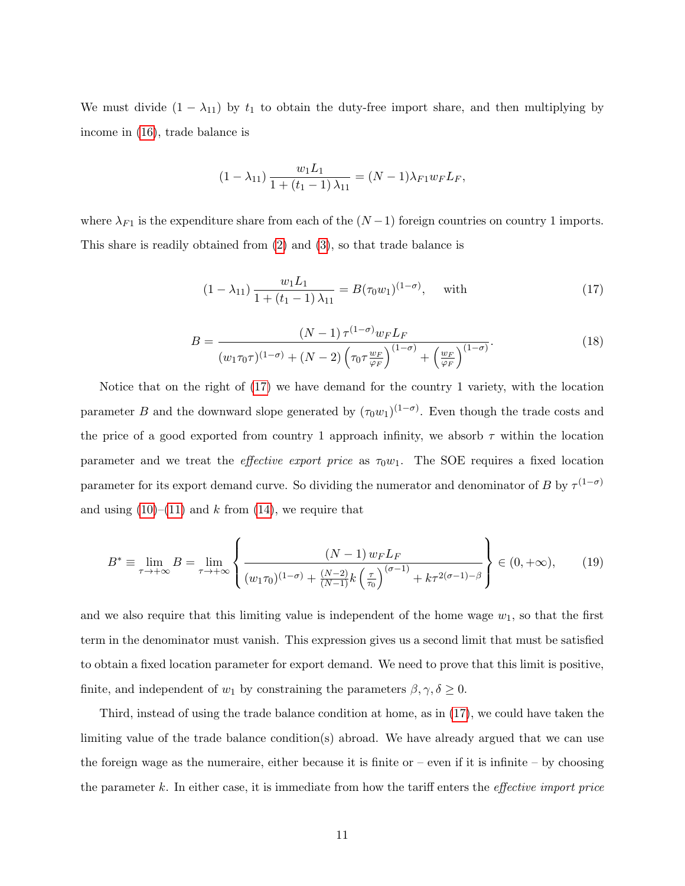We must divide  $(1 - \lambda_{11})$  by  $t_1$  to obtain the duty-free import share, and then multiplying by income in [\(16\)](#page-9-1), trade balance is

$$
(1 - \lambda_{11}) \frac{w_1 L_1}{1 + (t_1 - 1) \lambda_{11}} = (N - 1)\lambda_{F1} w_F L_F,
$$

where  $\lambda_{F1}$  is the expenditure share from each of the  $(N-1)$  foreign countries on country 1 imports. This share is readily obtained from [\(2\)](#page-3-1) and [\(3\)](#page-4-0), so that trade balance is

<span id="page-10-0"></span>
$$
(1 - \lambda_{11}) \frac{w_1 L_1}{1 + (t_1 - 1) \lambda_{11}} = B(\tau_0 w_1)^{(1 - \sigma)}, \quad \text{with} \tag{17}
$$

<span id="page-10-2"></span>
$$
B = \frac{(N-1)\,\tau^{(1-\sigma)}w_F L_F}{(w_1\tau_0\tau)^{(1-\sigma)} + (N-2)\left(\tau_0\tau\frac{w_F}{\varphi_F}\right)^{(1-\sigma)} + \left(\frac{w_F}{\varphi_F}\right)^{(1-\sigma)}}.\tag{18}
$$

Notice that on the right of [\(17\)](#page-10-0) we have demand for the country 1 variety, with the location parameter B and the downward slope generated by  $(\tau_0 w_1)^{(1-\sigma)}$ . Even though the trade costs and the price of a good exported from country 1 approach infinity, we absorb  $\tau$  within the location parameter and we treat the *effective export price* as  $\tau_0w_1$ . The SOE requires a fixed location parameter for its export demand curve. So dividing the numerator and denominator of B by  $\tau^{(1-\sigma)}$ and using  $(10)$ – $(11)$  and k from  $(14)$ , we require that

<span id="page-10-1"></span>
$$
B^* \equiv \lim_{\tau \to +\infty} B = \lim_{\tau \to +\infty} \left\{ \frac{(N-1) w_F L_F}{(w_1 \tau_0)^{(1-\sigma)} + \frac{(N-2)}{(N-1)} k \left(\frac{\tau}{\tau_0}\right)^{(\sigma-1)} + k \tau^{2(\sigma-1)-\beta}} \right\} \in (0, +\infty), \tag{19}
$$

and we also require that this limiting value is independent of the home wage  $w_1$ , so that the first term in the denominator must vanish. This expression gives us a second limit that must be satisfied to obtain a fixed location parameter for export demand. We need to prove that this limit is positive, finite, and independent of  $w_1$  by constraining the parameters  $\beta, \gamma, \delta \geq 0$ .

Third, instead of using the trade balance condition at home, as in [\(17\)](#page-10-0), we could have taken the limiting value of the trade balance condition(s) abroad. We have already argued that we can use the foreign wage as the numeraire, either because it is finite or  $-$  even if it is infinite  $-$  by choosing the parameter  $k$ . In either case, it is immediate from how the tariff enters the *effective import price*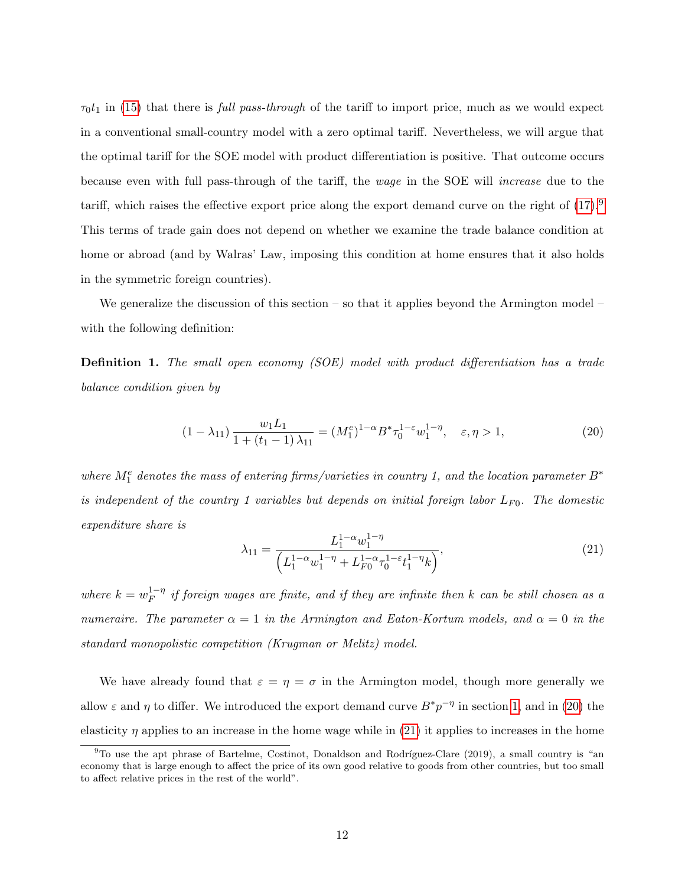$\tau_0t_1$  in [\(15\)](#page-9-2) that there is *full pass-through* of the tariff to import price, much as we would expect in a conventional small-country model with a zero optimal tariff. Nevertheless, we will argue that the optimal tariff for the SOE model with product differentiation is positive. That outcome occurs because even with full pass-through of the tariff, the wage in the SOE will increase due to the tariff, which raises the effective export price along the export demand curve on the right of [\(17\)](#page-10-0).[9](#page-11-0) This terms of trade gain does not depend on whether we examine the trade balance condition at home or abroad (and by Walras' Law, imposing this condition at home ensures that it also holds in the symmetric foreign countries).

We generalize the discussion of this section – so that it applies beyond the Armington model – with the following definition:

<span id="page-11-3"></span>Definition 1. The small open economy (SOE) model with product differentiation has a trade balance condition given by

<span id="page-11-1"></span>
$$
(1 - \lambda_{11}) \frac{w_1 L_1}{1 + (t_1 - 1) \lambda_{11}} = (M_1^e)^{1 - \alpha} B^* \tau_0^{1 - \varepsilon} w_1^{1 - \eta}, \quad \varepsilon, \eta > 1,
$$
\n
$$
(20)
$$

where  $M_1^e$  denotes the mass of entering firms/varieties in country 1, and the location parameter  $B^*$ is independent of the country 1 variables but depends on initial foreign labor  $L_{F0}$ . The domestic expenditure share is

<span id="page-11-2"></span>
$$
\lambda_{11} = \frac{L_1^{1-\alpha} w_1^{1-\eta}}{\left(L_1^{1-\alpha} w_1^{1-\eta} + L_{F0}^{1-\alpha} \tau_0^{1-\varepsilon} t_1^{1-\eta} k\right)},\tag{21}
$$

where  $k = w_F^{1-\eta}$  $E_F^{1-\eta}$  if foreign wages are finite, and if they are infinite then k can be still chosen as a numeraire. The parameter  $\alpha = 1$  in the Armington and Eaton-Kortum models, and  $\alpha = 0$  in the standard monopolistic competition (Krugman or Melitz) model.

We have already found that  $\varepsilon = \eta = \sigma$  in the Armington model, though more generally we allow  $\varepsilon$  and  $\eta$  to differ. We introduced the export demand curve  $B^*p^{-\eta}$  in section [1,](#page-1-1) and in [\(20\)](#page-11-1) the elasticity  $\eta$  applies to an increase in the home wage while in [\(21\)](#page-11-2) it applies to increases in the home

<span id="page-11-0"></span> $9^9$ To use the apt phrase of Bartelme, Costinot, Donaldson and Rodríguez-Clare (2019), a small country is "an economy that is large enough to affect the price of its own good relative to goods from other countries, but too small to affect relative prices in the rest of the world".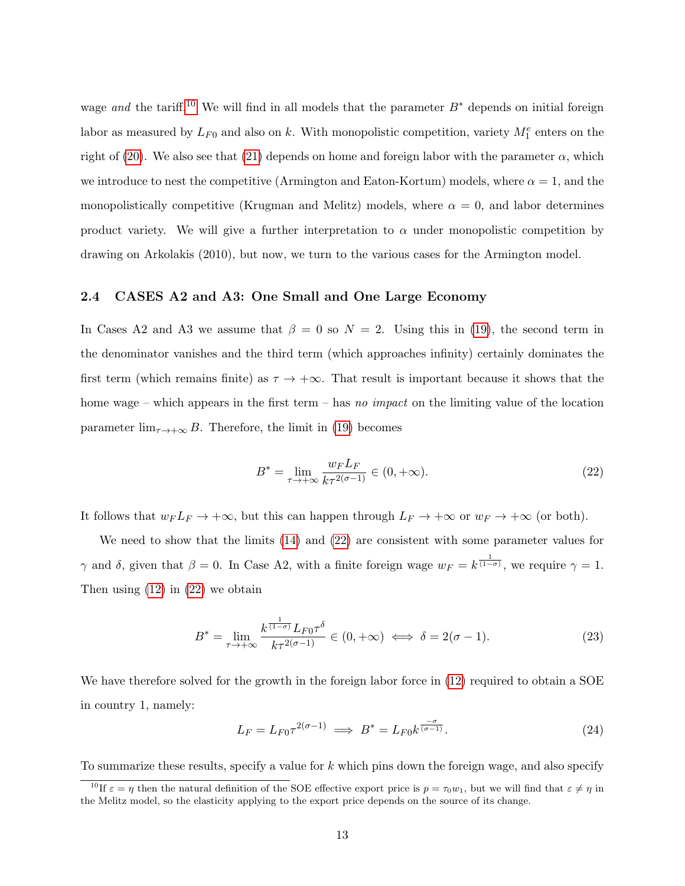wage and the tariff.<sup>[10](#page-12-1)</sup> We will find in all models that the parameter  $B^*$  depends on initial foreign labor as measured by  $L_{F0}$  and also on k. With monopolistic competition, variety  $M_1^e$  enters on the right of [\(20\)](#page-11-1). We also see that [\(21\)](#page-11-2) depends on home and foreign labor with the parameter  $\alpha$ , which we introduce to nest the competitive (Armington and Eaton-Kortum) models, where  $\alpha = 1$ , and the monopolistically competitive (Krugman and Melitz) models, where  $\alpha = 0$ , and labor determines product variety. We will give a further interpretation to  $\alpha$  under monopolistic competition by drawing on Arkolakis (2010), but now, we turn to the various cases for the Armington model.

#### <span id="page-12-0"></span>2.4 CASES A2 and A3: One Small and One Large Economy

In Cases A2 and A3 we assume that  $\beta = 0$  so  $N = 2$ . Using this in [\(19\)](#page-10-1), the second term in the denominator vanishes and the third term (which approaches infinity) certainly dominates the first term (which remains finite) as  $\tau \to +\infty$ . That result is important because it shows that the home wage – which appears in the first term – has no impact on the limiting value of the location parameter  $\lim_{\tau \to +\infty} B$ . Therefore, the limit in [\(19\)](#page-10-1) becomes

<span id="page-12-2"></span>
$$
B^* = \lim_{\tau \to +\infty} \frac{w_F L_F}{k \tau^{2(\sigma - 1)}} \in (0, +\infty).
$$
 (22)

It follows that  $w_F L_F \to +\infty$ , but this can happen through  $L_F \to +\infty$  or  $w_F \to +\infty$  (or both).

We need to show that the limits [\(14\)](#page-8-0) and [\(22\)](#page-12-2) are consistent with some parameter values for  $\gamma$  and  $\delta$ , given that  $\beta = 0$ . In Case A2, with a finite foreign wage  $w_F = k^{\frac{1}{(1-\sigma)}}$ , we require  $\gamma = 1$ . Then using  $(12)$  in  $(22)$  we obtain

<span id="page-12-4"></span>
$$
B^* = \lim_{\tau \to +\infty} \frac{k^{\frac{1}{(1-\sigma)}} L_{F0} \tau^{\delta}}{k \tau^{2(\sigma-1)}} \in (0, +\infty) \iff \delta = 2(\sigma - 1). \tag{23}
$$

We have therefore solved for the growth in the foreign labor force in  $(12)$  required to obtain a SOE in country 1, namely:

<span id="page-12-3"></span>
$$
L_F = L_{F0} \tau^{2(\sigma - 1)} \implies B^* = L_{F0} k^{\frac{-\sigma}{(\sigma - 1)}}.
$$
\n(24)

To summarize these results, specify a value for k which pins down the foreign wage, and also specify

<span id="page-12-1"></span><sup>&</sup>lt;sup>10</sup>If  $\varepsilon = \eta$  then the natural definition of the SOE effective export price is  $p = \tau_0 w_1$ , but we will find that  $\varepsilon \neq \eta$  in the Melitz model, so the elasticity applying to the export price depends on the source of its change.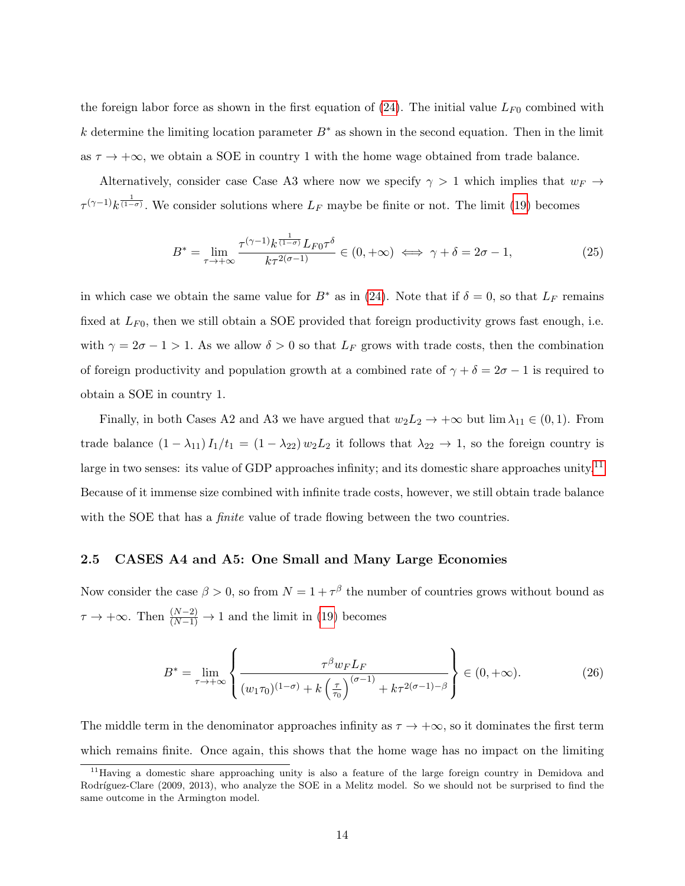the foreign labor force as shown in the first equation of  $(24)$ . The initial value  $L_{F0}$  combined with k determine the limiting location parameter  $B^*$  as shown in the second equation. Then in the limit as  $\tau \to +\infty$ , we obtain a SOE in country 1 with the home wage obtained from trade balance.

Alternatively, consider case Case A3 where now we specify  $\gamma > 1$  which implies that  $w_F \rightarrow$  $\tau^{(\gamma-1)}k^{\frac{1}{(1-\sigma)}}$ . We consider solutions where  $L_F$  maybe be finite or not. The limit [\(19\)](#page-10-1) becomes

<span id="page-13-3"></span>
$$
B^* = \lim_{\tau \to +\infty} \frac{\tau^{(\gamma-1)} k^{\frac{1}{(1-\sigma)}} L_{F0} \tau^{\delta}}{k \tau^{2(\sigma-1)}} \in (0, +\infty) \iff \gamma + \delta = 2\sigma - 1,\tag{25}
$$

in which case we obtain the same value for  $B^*$  as in [\(24\)](#page-12-3). Note that if  $\delta = 0$ , so that  $L_F$  remains fixed at  $L_{F0}$ , then we still obtain a SOE provided that foreign productivity grows fast enough, i.e. with  $\gamma = 2\sigma - 1 > 1$ . As we allow  $\delta > 0$  so that  $L_F$  grows with trade costs, then the combination of foreign productivity and population growth at a combined rate of  $\gamma + \delta = 2\sigma - 1$  is required to obtain a SOE in country 1.

Finally, in both Cases A2 and A3 we have argued that  $w_2L_2 \to +\infty$  but  $\lim_{\lambda_{1}} \in (0,1)$ . From trade balance  $(1 - \lambda_{11}) I_1/t_1 = (1 - \lambda_{22}) w_2 L_2$  it follows that  $\lambda_{22} \to 1$ , so the foreign country is large in two senses: its value of GDP approaches infinity; and its domestic share approaches unity.<sup>[11](#page-13-1)</sup> Because of it immense size combined with infinite trade costs, however, we still obtain trade balance with the SOE that has a *finite* value of trade flowing between the two countries.

#### <span id="page-13-0"></span>2.5 CASES A4 and A5: One Small and Many Large Economies

Now consider the case  $\beta > 0$ , so from  $N = 1 + \tau^{\beta}$  the number of countries grows without bound as  $\tau \to +\infty$ . Then  $\frac{(N-2)}{(N-1)} \to 1$  and the limit in [\(19\)](#page-10-1) becomes

<span id="page-13-2"></span>
$$
B^* = \lim_{\tau \to +\infty} \left\{ \frac{\tau^{\beta} w_F L_F}{(w_1 \tau_0)^{(1-\sigma)} + k \left(\frac{\tau}{\tau_0}\right)^{(\sigma-1)} + k \tau^{2(\sigma-1)-\beta}} \right\} \in (0, +\infty).
$$
 (26)

The middle term in the denominator approaches infinity as  $\tau \to +\infty$ , so it dominates the first term which remains finite. Once again, this shows that the home wage has no impact on the limiting

<span id="page-13-1"></span><sup>&</sup>lt;sup>11</sup>Having a domestic share approaching unity is also a feature of the large foreign country in Demidova and Rodríguez-Clare (2009, 2013), who analyze the SOE in a Melitz model. So we should not be surprised to find the same outcome in the Armington model.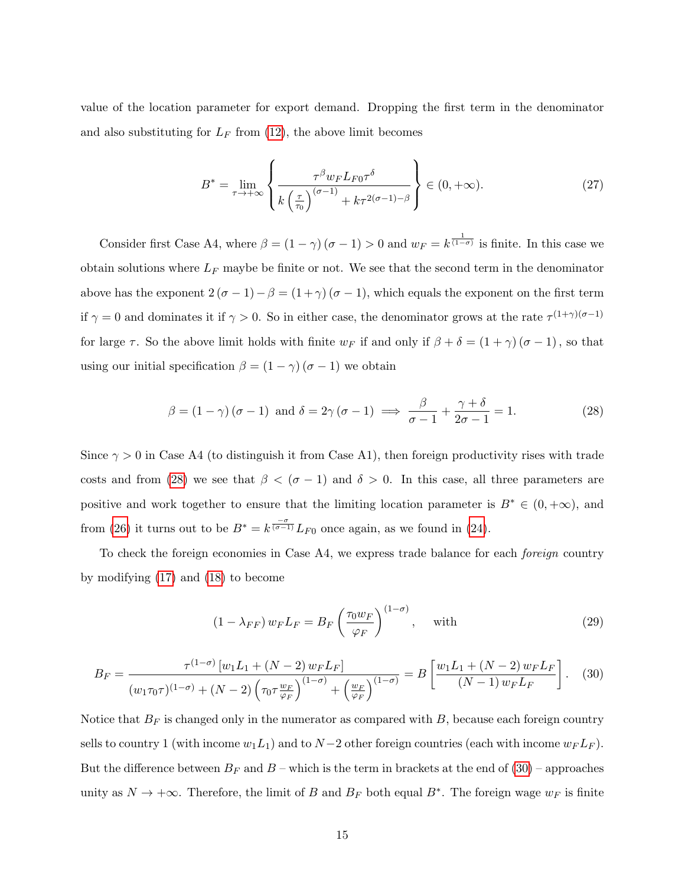value of the location parameter for export demand. Dropping the first term in the denominator and also substituting for  $L_F$  from [\(12\)](#page-7-1), the above limit becomes

$$
B^* = \lim_{\tau \to +\infty} \left\{ \frac{\tau^\beta w_F L_{F0} \tau^\delta}{k \left(\frac{\tau}{\tau_0}\right)^{(\sigma-1)} + k \tau^{2(\sigma-1)-\beta}} \right\} \in (0, +\infty). \tag{27}
$$

Consider first Case A4, where  $\beta = (1 - \gamma) (\sigma - 1) > 0$  and  $w_F = k^{\frac{1}{(1 - \sigma)}}$  is finite. In this case we obtain solutions where  $L_F$  maybe be finite or not. We see that the second term in the denominator above has the exponent  $2(\sigma - 1) - \beta = (1 + \gamma) (\sigma - 1)$ , which equals the exponent on the first term if  $\gamma = 0$  and dominates it if  $\gamma > 0$ . So in either case, the denominator grows at the rate  $\tau^{(1+\gamma)(\sigma-1)}$ for large  $\tau$ . So the above limit holds with finite  $w_F$  if and only if  $\beta + \delta = (1 + \gamma)(\sigma - 1)$ , so that using our initial specification  $\beta = (1 - \gamma) (\sigma - 1)$  we obtain

<span id="page-14-0"></span>
$$
\beta = (1 - \gamma) (\sigma - 1) \text{ and } \delta = 2\gamma (\sigma - 1) \implies \frac{\beta}{\sigma - 1} + \frac{\gamma + \delta}{2\sigma - 1} = 1. \tag{28}
$$

Since  $\gamma > 0$  in Case A4 (to distinguish it from Case A1), then foreign productivity rises with trade costs and from [\(28\)](#page-14-0) we see that  $\beta < (\sigma - 1)$  and  $\delta > 0$ . In this case, all three parameters are positive and work together to ensure that the limiting location parameter is  $B^* \in (0, +\infty)$ , and from [\(26\)](#page-13-2) it turns out to be  $B^* = k^{\frac{-\sigma}{(\sigma-1)}} L_{F0}$  once again, as we found in [\(24\)](#page-12-3).

To check the foreign economies in Case A4, we express trade balance for each foreign country by modifying [\(17\)](#page-10-0) and [\(18\)](#page-10-2) to become

<span id="page-14-2"></span>
$$
(1 - \lambda_{FF}) w_F L_F = B_F \left(\frac{\tau_0 w_F}{\varphi_F}\right)^{(1 - \sigma)}, \quad \text{with} \tag{29}
$$

<span id="page-14-1"></span>
$$
B_F = \frac{\tau^{(1-\sigma)}[w_1 L_1 + (N-2) w_F L_F]}{(w_1 \tau_0 \tau)^{(1-\sigma)} + (N-2) \left(\tau_0 \tau \frac{w_F}{\varphi_F}\right)^{(1-\sigma)} + \left(\frac{w_F}{\varphi_F}\right)^{(1-\sigma)}} = B \left[ \frac{w_1 L_1 + (N-2) w_F L_F}{(N-1) w_F L_F} \right].
$$
 (30)

Notice that  $B_F$  is changed only in the numerator as compared with  $B$ , because each foreign country sells to country 1 (with income  $w_1L_1$ ) and to  $N-2$  other foreign countries (each with income  $w_FL_F$ ). But the difference between  $B_F$  and  $B$  – which is the term in brackets at the end of  $(30)$  – approaches unity as  $N \to +\infty$ . Therefore, the limit of B and  $B_F$  both equal  $B^*$ . The foreign wage  $w_F$  is finite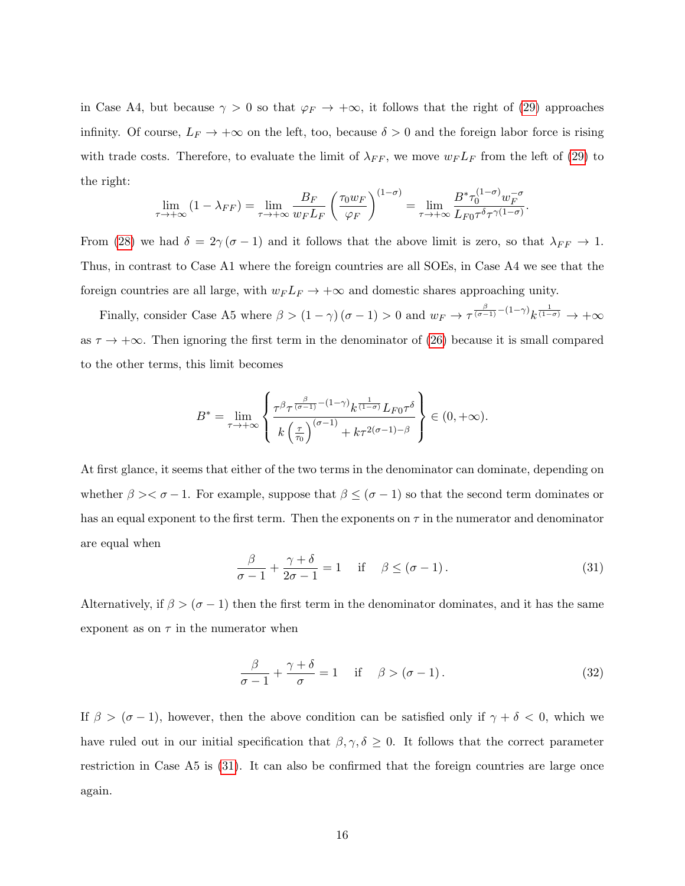in Case A4, but because  $\gamma > 0$  so that  $\varphi_F \to +\infty$ , it follows that the right of [\(29\)](#page-14-2) approaches infinity. Of course,  $L_F \to +\infty$  on the left, too, because  $\delta > 0$  and the foreign labor force is rising with trade costs. Therefore, to evaluate the limit of  $\lambda_{FF}$ , we move  $w_F L_F$  from the left of [\(29\)](#page-14-2) to the right:

$$
\lim_{\tau \to +\infty} (1 - \lambda_{FF}) = \lim_{\tau \to +\infty} \frac{B_F}{w_F L_F} \left( \frac{\tau_0 w_F}{\varphi_F} \right)^{(1-\sigma)} = \lim_{\tau \to +\infty} \frac{B^* \tau_0^{(1-\sigma)} w_F^{-\sigma}}{L_{F0} \tau^{\delta} \tau^{\gamma (1-\sigma)}}.
$$

From [\(28\)](#page-14-0) we had  $\delta = 2\gamma (\sigma - 1)$  and it follows that the above limit is zero, so that  $\lambda_{FF} \to 1$ . Thus, in contrast to Case A1 where the foreign countries are all SOEs, in Case A4 we see that the foreign countries are all large, with  $w_F L_F \to +\infty$  and domestic shares approaching unity.

Finally, consider Case A5 where  $\beta > (1 - \gamma) (\sigma - 1) > 0$  and  $w_F \to \tau^{\frac{\beta}{(\sigma - 1)} - (1 - \gamma)} k^{\frac{1}{(1 - \sigma)}} \to +\infty$ as  $\tau \to +\infty$ . Then ignoring the first term in the denominator of [\(26\)](#page-13-2) because it is small compared to the other terms, this limit becomes

$$
B^* = \lim_{\tau \to +\infty} \left\{ \frac{\tau^{\beta} \tau^{\frac{\beta}{(\sigma-1)} - (1-\gamma)} k^{\frac{1}{(1-\sigma)}} L_{F0} \tau^{\delta}}{k \left(\frac{\tau}{\tau_0}\right)^{(\sigma-1)} + k \tau^{2(\sigma-1)-\beta}} \right\} \in (0, +\infty).
$$

At first glance, it seems that either of the two terms in the denominator can dominate, depending on whether  $\beta \geq \sigma - 1$ . For example, suppose that  $\beta \leq (\sigma - 1)$  so that the second term dominates or has an equal exponent to the first term. Then the exponents on  $\tau$  in the numerator and denominator are equal when

<span id="page-15-0"></span>
$$
\frac{\beta}{\sigma - 1} + \frac{\gamma + \delta}{2\sigma - 1} = 1 \quad \text{if} \quad \beta \le (\sigma - 1). \tag{31}
$$

Alternatively, if  $\beta > (\sigma - 1)$  then the first term in the denominator dominates, and it has the same exponent as on  $\tau$  in the numerator when

$$
\frac{\beta}{\sigma - 1} + \frac{\gamma + \delta}{\sigma} = 1 \quad \text{if} \quad \beta > (\sigma - 1). \tag{32}
$$

If  $\beta > (\sigma - 1)$ , however, then the above condition can be satisfied only if  $\gamma + \delta < 0$ , which we have ruled out in our initial specification that  $\beta, \gamma, \delta \geq 0$ . It follows that the correct parameter restriction in Case A5 is [\(31\)](#page-15-0). It can also be confirmed that the foreign countries are large once again.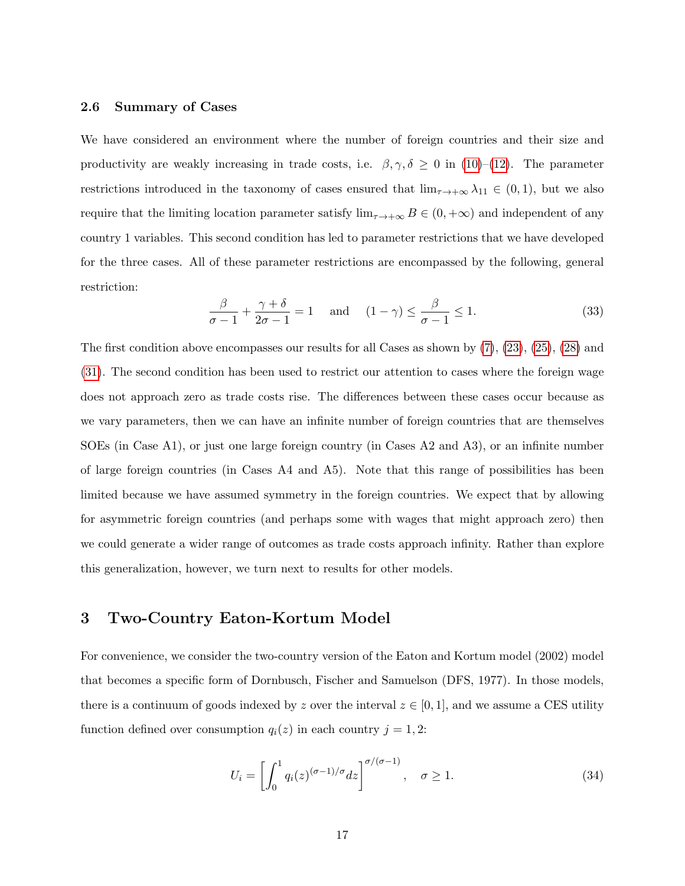#### 2.6 Summary of Cases

We have considered an environment where the number of foreign countries and their size and productivity are weakly increasing in trade costs, i.e.  $\beta, \gamma, \delta \geq 0$  in [\(10\)](#page-7-1)–[\(12\)](#page-7-1). The parameter restrictions introduced in the taxonomy of cases ensured that  $\lim_{\tau\to+\infty}\lambda_{11}\in(0,1)$ , but we also require that the limiting location parameter satisfy  $\lim_{\tau \to +\infty} B \in (0, +\infty)$  and independent of any country 1 variables. This second condition has led to parameter restrictions that we have developed for the three cases. All of these parameter restrictions are encompassed by the following, general restriction:

<span id="page-16-1"></span>
$$
\frac{\beta}{\sigma - 1} + \frac{\gamma + \delta}{2\sigma - 1} = 1 \quad \text{and} \quad (1 - \gamma) \le \frac{\beta}{\sigma - 1} \le 1. \tag{33}
$$

The first condition above encompasses our results for all Cases as shown by [\(7\)](#page-5-1), [\(23\)](#page-12-4), [\(25\)](#page-13-3), [\(28\)](#page-14-0) and [\(31\)](#page-15-0). The second condition has been used to restrict our attention to cases where the foreign wage does not approach zero as trade costs rise. The differences between these cases occur because as we vary parameters, then we can have an infinite number of foreign countries that are themselves SOEs (in Case A1), or just one large foreign country (in Cases A2 and A3), or an infinite number of large foreign countries (in Cases A4 and A5). Note that this range of possibilities has been limited because we have assumed symmetry in the foreign countries. We expect that by allowing for asymmetric foreign countries (and perhaps some with wages that might approach zero) then we could generate a wider range of outcomes as trade costs approach infinity. Rather than explore this generalization, however, we turn next to results for other models.

# 3 Two-Country Eaton-Kortum Model

For convenience, we consider the two-country version of the Eaton and Kortum model (2002) model that becomes a specific form of Dornbusch, Fischer and Samuelson (DFS, 1977). In those models, there is a continuum of goods indexed by z over the interval  $z \in [0, 1]$ , and we assume a CES utility function defined over consumption  $q_i(z)$  in each country  $j = 1, 2$ :

<span id="page-16-0"></span>
$$
U_i = \left[ \int_0^1 q_i(z)^{(\sigma - 1)/\sigma} dz \right]^{\sigma/(\sigma - 1)}, \quad \sigma \ge 1.
$$
 (34)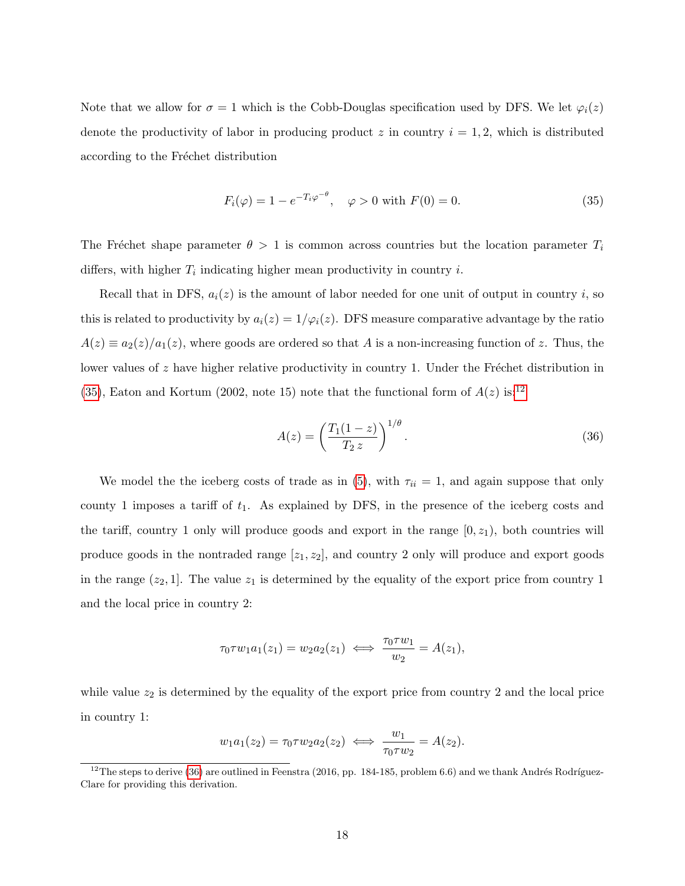Note that we allow for  $\sigma = 1$  which is the Cobb-Douglas specification used by DFS. We let  $\varphi_i(z)$ denote the productivity of labor in producing product z in country  $i = 1, 2$ , which is distributed according to the Fréchet distribution

<span id="page-17-0"></span>
$$
F_i(\varphi) = 1 - e^{-T_i \varphi^{-\theta}}, \quad \varphi > 0 \text{ with } F(0) = 0.
$$
 (35)

The Fréchet shape parameter  $\theta > 1$  is common across countries but the location parameter  $T_i$ differs, with higher  $T_i$  indicating higher mean productivity in country i.

Recall that in DFS,  $a_i(z)$  is the amount of labor needed for one unit of output in country i, so this is related to productivity by  $a_i(z) = 1/\varphi_i(z)$ . DFS measure comparative advantage by the ratio  $A(z) \equiv a_2(z)/a_1(z)$ , where goods are ordered so that A is a non-increasing function of z. Thus, the lower values of  $z$  have higher relative productivity in country 1. Under the Fréchet distribution in [\(35\)](#page-17-0), Eaton and Kortum (2002, note 15) note that the functional form of  $A(z)$  is:<sup>[12](#page-17-1)</sup>

<span id="page-17-2"></span>
$$
A(z) = \left(\frac{T_1(1-z)}{T_2 z}\right)^{1/\theta}.
$$
\n(36)

We model the the iceberg costs of trade as in [\(5\)](#page-5-2), with  $\tau_{ii} = 1$ , and again suppose that only county 1 imposes a tariff of  $t_1$ . As explained by DFS, in the presence of the iceberg costs and the tariff, country 1 only will produce goods and export in the range  $[0, z_1)$ , both countries will produce goods in the nontraded range  $[z_1, z_2]$ , and country 2 only will produce and export goods in the range  $(z_2, 1]$ . The value  $z_1$  is determined by the equality of the export price from country 1 and the local price in country 2:

$$
\tau_0 \tau w_1 a_1(z_1) = w_2 a_2(z_1) \iff \frac{\tau_0 \tau w_1}{w_2} = A(z_1),
$$

while value  $z_2$  is determined by the equality of the export price from country 2 and the local price in country 1:

$$
w_1 a_1(z_2) = \tau_0 \tau w_2 a_2(z_2) \iff \frac{w_1}{\tau_0 \tau w_2} = A(z_2).
$$

<span id="page-17-1"></span><sup>&</sup>lt;sup>12</sup>The steps to derive  $(36)$  are outlined in Feenstra  $(2016, pp. 184-185, problem 6.6)$  and we thank Andrés Rodríguez-Clare for providing this derivation.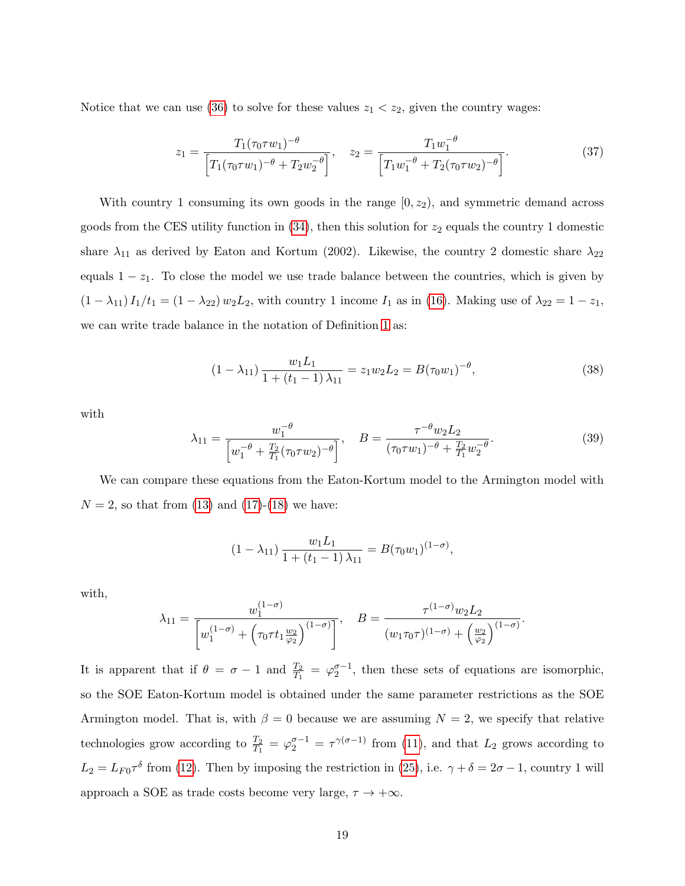Notice that we can use [\(36\)](#page-17-2) to solve for these values  $z_1 < z_2$ , given the country wages:

<span id="page-18-2"></span>
$$
z_1 = \frac{T_1(\tau_0 \tau w_1)^{-\theta}}{\left[T_1(\tau_0 \tau w_1)^{-\theta} + T_2 w_2^{-\theta}\right]}, \quad z_2 = \frac{T_1 w_1^{-\theta}}{\left[T_1 w_1^{-\theta} + T_2(\tau_0 \tau w_2)^{-\theta}\right]}.
$$
(37)

With country 1 consuming its own goods in the range  $[0, z_2)$ , and symmetric demand across goods from the CES utility function in  $(34)$ , then this solution for  $z_2$  equals the country 1 domestic share  $\lambda_{11}$  as derived by Eaton and Kortum (2002). Likewise, the country 2 domestic share  $\lambda_{22}$ equals  $1 - z_1$ . To close the model we use trade balance between the countries, which is given by  $(1 - \lambda_{11}) I_1/t_1 = (1 - \lambda_{22}) w_2 L_2$ , with country 1 income  $I_1$  as in [\(16\)](#page-9-1). Making use of  $\lambda_{22} = 1 - z_1$ , we can write trade balance in the notation of Definition [1](#page-11-3) as:

<span id="page-18-0"></span>
$$
(1 - \lambda_{11}) \frac{w_1 L_1}{1 + (t_1 - 1) \lambda_{11}} = z_1 w_2 L_2 = B(\tau_0 w_1)^{-\theta}, \tag{38}
$$

with

<span id="page-18-1"></span>
$$
\lambda_{11} = \frac{w_1^{-\theta}}{\left[w_1^{-\theta} + \frac{T_2}{T_1}(\tau_0 \tau w_2)^{-\theta}\right]}, \quad B = \frac{\tau^{-\theta} w_2 L_2}{(\tau_0 \tau w_1)^{-\theta} + \frac{T_2}{T_1} w_2^{-\theta}}.
$$
\n(39)

We can compare these equations from the Eaton-Kortum model to the Armington model with  $N = 2$ , so that from [\(13\)](#page-7-2) and [\(17\)](#page-10-0)-[\(18\)](#page-10-2) we have:

$$
(1 - \lambda_{11}) \frac{w_1 L_1}{1 + (t_1 - 1) \lambda_{11}} = B(\tau_0 w_1)^{(1 - \sigma)},
$$

with,

$$
\lambda_{11} = \frac{w_1^{(1-\sigma)}}{\left[w_1^{(1-\sigma)} + \left(\tau_0 \tau t_1 \frac{w_2}{\varphi_2}\right)^{(1-\sigma)}\right]}, \quad B = \frac{\tau^{(1-\sigma)}w_2 L_2}{(w_1 \tau_0 \tau)^{(1-\sigma)} + \left(\frac{w_2}{\varphi_2}\right)^{(1-\sigma)}}.
$$

It is apparent that if  $\theta = \sigma - 1$  and  $\frac{T_2}{T_1} = \varphi_2^{\sigma-1}$ , then these sets of equations are isomorphic, so the SOE Eaton-Kortum model is obtained under the same parameter restrictions as the SOE Armington model. That is, with  $\beta = 0$  because we are assuming  $N = 2$ , we specify that relative technologies grow according to  $\frac{T_2}{T_1} = \varphi_2^{\sigma-1} = \tau^{\gamma(\sigma-1)}$  from [\(11\)](#page-7-1), and that  $L_2$  grows according to  $L_2 = L_{F0} \tau^{\delta}$  from [\(12\)](#page-7-1). Then by imposing the restriction in [\(25\)](#page-13-3), i.e.  $\gamma + \delta = 2\sigma - 1$ , country 1 will approach a SOE as trade costs become very large,  $\tau \to +\infty$ .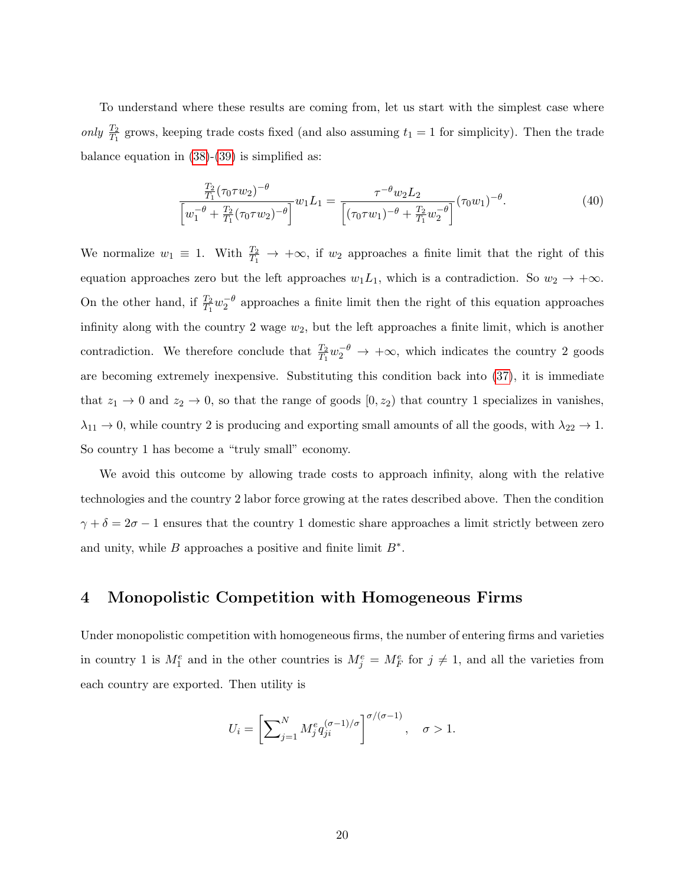To understand where these results are coming from, let us start with the simplest case where only  $\frac{T_2}{T_1}$  grows, keeping trade costs fixed (and also assuming  $t_1 = 1$  for simplicity). Then the trade balance equation in  $(38)-(39)$  $(38)-(39)$  $(38)-(39)$  is simplified as:

$$
\frac{\frac{T_2}{T_1}(\tau_0 \tau w_2)^{-\theta}}{\left[w_1^{-\theta} + \frac{T_2}{T_1}(\tau_0 \tau w_2)^{-\theta}\right]} w_1 L_1 = \frac{\tau^{-\theta} w_2 L_2}{\left[(\tau_0 \tau w_1)^{-\theta} + \frac{T_2}{T_1} w_2^{-\theta}\right]} (\tau_0 w_1)^{-\theta}.
$$
\n(40)

We normalize  $w_1 \equiv 1$ . With  $\frac{T_2}{T_1} \rightarrow +\infty$ , if  $w_2$  approaches a finite limit that the right of this equation approaches zero but the left approaches  $w_1L_1$ , which is a contradiction. So  $w_2 \to +\infty$ . On the other hand, if  $\frac{T_2}{T_1}w_2^{-\theta}$  approaches a finite limit then the right of this equation approaches infinity along with the country 2 wage  $w_2$ , but the left approaches a finite limit, which is another contradiction. We therefore conclude that  $\frac{T_2}{T_1}w_2^{-\theta} \to +\infty$ , which indicates the country 2 goods are becoming extremely inexpensive. Substituting this condition back into [\(37\)](#page-18-2), it is immediate that  $z_1 \to 0$  and  $z_2 \to 0$ , so that the range of goods  $[0, z_2)$  that country 1 specializes in vanishes,  $\lambda_{11} \to 0$ , while country 2 is producing and exporting small amounts of all the goods, with  $\lambda_{22} \to 1$ . So country 1 has become a "truly small" economy.

We avoid this outcome by allowing trade costs to approach infinity, along with the relative technologies and the country 2 labor force growing at the rates described above. Then the condition  $\gamma + \delta = 2\sigma - 1$  ensures that the country 1 domestic share approaches a limit strictly between zero and unity, while  $B$  approaches a positive and finite limit  $B^*$ .

# 4 Monopolistic Competition with Homogeneous Firms

Under monopolistic competition with homogeneous firms, the number of entering firms and varieties in country 1 is  $M_1^e$  and in the other countries is  $M_j^e = M_F^e$  for  $j \neq 1$ , and all the varieties from each country are exported. Then utility is

$$
U_i = \left[\sum_{j=1}^N M_j^e q_{ji}^{(\sigma-1)/\sigma}\right]^{\sigma/(\sigma-1)}, \quad \sigma > 1.
$$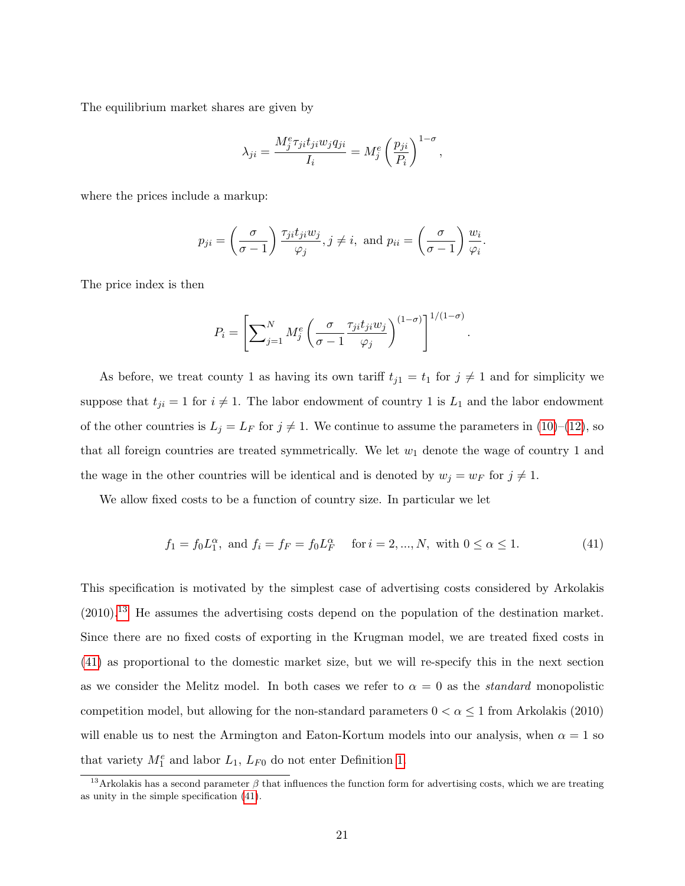The equilibrium market shares are given by

$$
\lambda_{ji} = \frac{M_j^e \tau_{ji} t_{ji} w_j q_{ji}}{I_i} = M_j^e \left(\frac{p_{ji}}{P_i}\right)^{1-\sigma},
$$

where the prices include a markup:

$$
p_{ji} = \left(\frac{\sigma}{\sigma - 1}\right) \frac{\tau_{ji} t_{ji} w_j}{\varphi_j}, j \neq i, \text{ and } p_{ii} = \left(\frac{\sigma}{\sigma - 1}\right) \frac{w_i}{\varphi_i}.
$$

The price index is then

$$
P_i = \left[ \sum_{j=1}^{N} M_j^e \left( \frac{\sigma}{\sigma - 1} \frac{\tau_{ji} t_{ji} w_j}{\varphi_j} \right)^{(1 - \sigma)} \right]^{1/(1 - \sigma)}
$$

As before, we treat county 1 as having its own tariff  $t_{j1} = t_1$  for  $j \neq 1$  and for simplicity we suppose that  $t_{ji} = 1$  for  $i \neq 1$ . The labor endowment of country 1 is  $L_1$  and the labor endowment of the other countries is  $L_j = L_F$  for  $j \neq 1$ . We continue to assume the parameters in [\(10\)](#page-7-1)–[\(12\)](#page-7-1), so that all foreign countries are treated symmetrically. We let  $w_1$  denote the wage of country 1 and the wage in the other countries will be identical and is denoted by  $w_j = w_F$  for  $j \neq 1$ .

We allow fixed costs to be a function of country size. In particular we let

<span id="page-20-1"></span>
$$
f_1 = f_0 L_1^{\alpha}
$$
, and  $f_i = f_F = f_0 L_F^{\alpha}$  for  $i = 2, ..., N$ , with  $0 \le \alpha \le 1$ . (41)

.

This specification is motivated by the simplest case of advertising costs considered by Arkolakis (2010).[13](#page-20-0) He assumes the advertising costs depend on the population of the destination market. Since there are no fixed costs of exporting in the Krugman model, we are treated fixed costs in [\(41\)](#page-20-1) as proportional to the domestic market size, but we will re-specify this in the next section as we consider the Melitz model. In both cases we refer to  $\alpha = 0$  as the *standard* monopolistic competition model, but allowing for the non-standard parameters  $0 < \alpha \leq 1$  from Arkolakis (2010) will enable us to nest the Armington and Eaton-Kortum models into our analysis, when  $\alpha = 1$  so that variety  $M_1^e$  and labor  $L_1$ ,  $L_{F0}$  do not enter Definition [1.](#page-11-3)

<span id="page-20-0"></span><sup>&</sup>lt;sup>13</sup>Arkolakis has a second parameter  $\beta$  that influences the function form for advertising costs, which we are treating as unity in the simple specification [\(41\)](#page-20-1).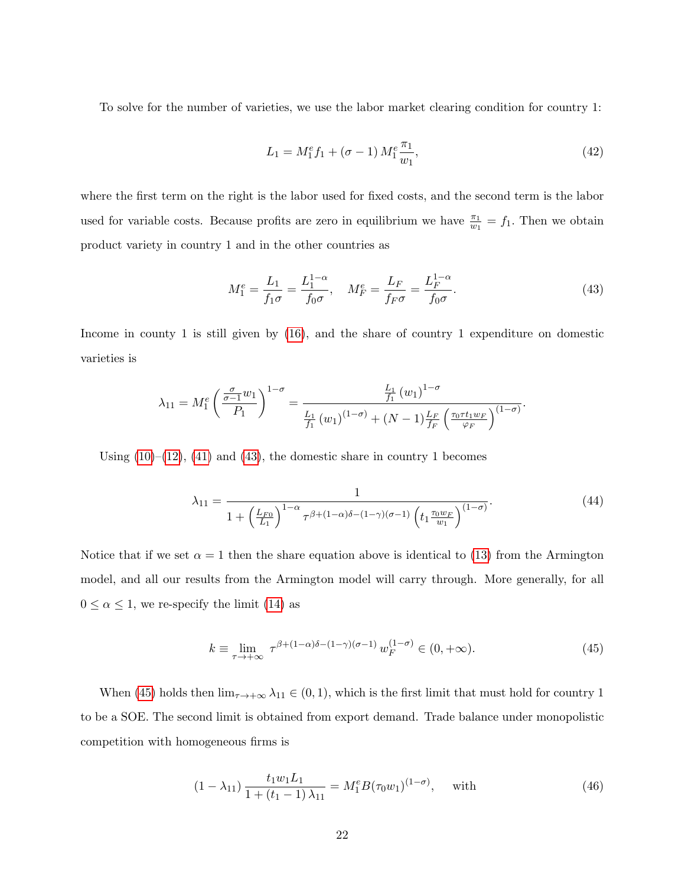To solve for the number of varieties, we use the labor market clearing condition for country 1:

<span id="page-21-3"></span>
$$
L_1 = M_1^e f_1 + (\sigma - 1) M_1^e \frac{\pi_1}{w_1},
$$
\n(42)

where the first term on the right is the labor used for fixed costs, and the second term is the labor used for variable costs. Because profits are zero in equilibrium we have  $\frac{\pi_1}{w_1} = f_1$ . Then we obtain product variety in country 1 and in the other countries as

<span id="page-21-0"></span>
$$
M_1^e = \frac{L_1}{f_1 \sigma} = \frac{L_1^{1-\alpha}}{f_0 \sigma}, \quad M_F^e = \frac{L_F}{f_F \sigma} = \frac{L_F^{1-\alpha}}{f_0 \sigma}.
$$
 (43)

Income in county 1 is still given by [\(16\)](#page-9-1), and the share of country 1 expenditure on domestic varieties is

$$
\lambda_{11} = M_1^e \left( \frac{\frac{\sigma}{\sigma - 1} w_1}{P_1} \right)^{1 - \sigma} = \frac{\frac{L_1}{f_1} (w_1)^{1 - \sigma}}{\frac{L_1}{f_1} (w_1)^{(1 - \sigma)} + (N - 1) \frac{L_F}{f_F} \left( \frac{\tau_0 \tau t_1 w_F}{\varphi_F} \right)^{(1 - \sigma)}}.
$$

Using  $(10)$ – $(12)$ ,  $(41)$  and  $(43)$ , the domestic share in country 1 becomes

$$
\lambda_{11} = \frac{1}{1 + \left(\frac{L_{F0}}{L_1}\right)^{1-\alpha} \tau^{\beta + (1-\alpha)\delta - (1-\gamma)(\sigma-1)} \left(t_1 \frac{\tau_0 w_F}{w_1}\right)^{(1-\sigma)}}.
$$
\n(44)

Notice that if we set  $\alpha = 1$  then the share equation above is identical to [\(13\)](#page-7-2) from the Armington model, and all our results from the Armington model will carry through. More generally, for all  $0 \le \alpha \le 1$ , we re-specify the limit [\(14\)](#page-8-0) as

<span id="page-21-1"></span>
$$
k \equiv \lim_{\tau \to +\infty} \tau^{\beta + (1-\alpha)\delta - (1-\gamma)(\sigma-1)} w_F^{(1-\sigma)} \in (0, +\infty). \tag{45}
$$

When [\(45\)](#page-21-1) holds then  $\lim_{\tau\to+\infty}\lambda_{11}\in(0,1)$ , which is the first limit that must hold for country 1 to be a SOE. The second limit is obtained from export demand. Trade balance under monopolistic competition with homogeneous firms is

<span id="page-21-2"></span>
$$
(1 - \lambda_{11}) \frac{t_1 w_1 L_1}{1 + (t_1 - 1) \lambda_{11}} = M_1^e B(\tau_0 w_1)^{(1 - \sigma)}, \quad \text{with} \tag{46}
$$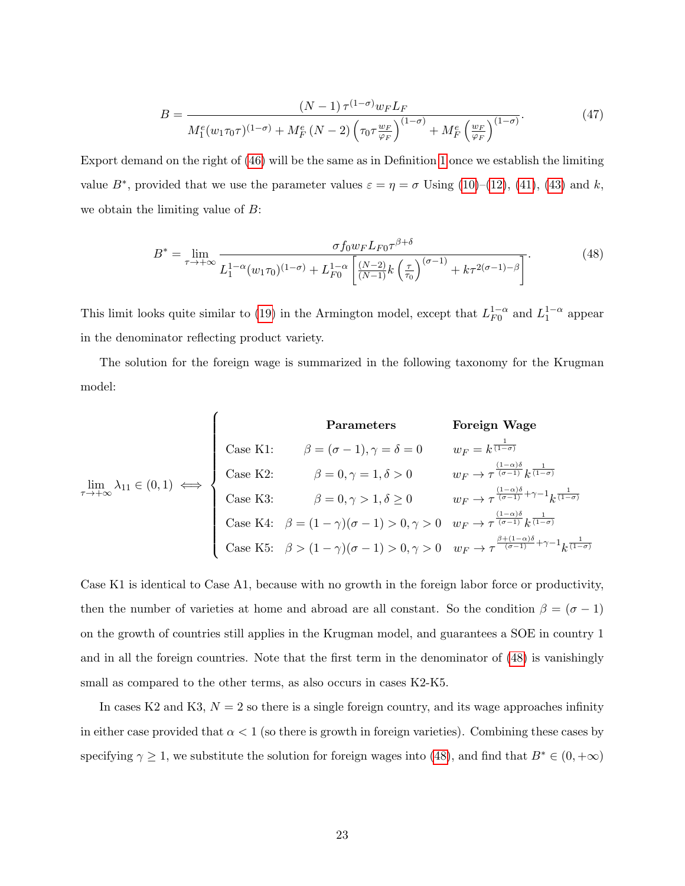$$
B = \frac{\left(N - 1\right)\tau^{(1-\sigma)}w_{F}L_{F}}{M_{1}^{e}(w_{1}\tau_{0}\tau)^{(1-\sigma)} + M_{F}^{e}\left(N - 2\right)\left(\tau_{0}\tau\frac{w_{F}}{\varphi_{F}}\right)^{(1-\sigma)} + M_{F}^{e}\left(\frac{w_{F}}{\varphi_{F}}\right)^{(1-\sigma)}}.
$$
\n(47)

Export demand on the right of [\(46\)](#page-21-2) will be the same as in Definition [1](#page-11-3) once we establish the limiting value  $B^*$ , provided that we use the parameter values  $\varepsilon = \eta = \sigma$  Using [\(10\)](#page-7-1)–[\(12\)](#page-7-1), [\(41\)](#page-20-1), [\(43\)](#page-21-0) and k, we obtain the limiting value of  $B$ :

<span id="page-22-0"></span>
$$
B^* = \lim_{\tau \to +\infty} \frac{\sigma f_0 w_F L_{F0} \tau^{\beta + \delta}}{L_1^{1-\alpha} (w_1 \tau_0)^{(1-\sigma)} + L_{F0}^{1-\alpha} \left[ \frac{(N-2)}{(N-1)} k \left( \frac{\tau}{\tau_0} \right)^{(\sigma-1)} + k \tau^{2(\sigma-1)-\beta} \right]}.
$$
(48)

This limit looks quite similar to [\(19\)](#page-10-1) in the Armington model, except that  $L_{F0}^{1-\alpha}$  $_{F0}^{1-\alpha}$  and  $L_1^{1-\alpha}$  appear in the denominator reflecting product variety.

The solution for the foreign wage is summarized in the following taxonomy for the Krugman model:

| Parameters                                                  |                                                             | Foreign wage                                                |                                                             |                                                             |                                                             |                                                             |                                                             |                                                             |                                                             |                                                             |                                                             |                                                             |                                                             |                                                             |                                                             |                                                             |                                                             |              |
|-------------------------------------------------------------|-------------------------------------------------------------|-------------------------------------------------------------|-------------------------------------------------------------|-------------------------------------------------------------|-------------------------------------------------------------|-------------------------------------------------------------|-------------------------------------------------------------|-------------------------------------------------------------|-------------------------------------------------------------|-------------------------------------------------------------|-------------------------------------------------------------|-------------------------------------------------------------|-------------------------------------------------------------|-------------------------------------------------------------|-------------------------------------------------------------|-------------------------------------------------------------|-------------------------------------------------------------|--------------|
| \n $\lim_{\tau \to +\infty} \lambda_{11} \in (0,1) \iff$ \n | \n $\lim_{\tau \to +\infty} \lambda_{11} \in (0,1) \iff$ \n | \n $\lim_{\tau \to +\infty} \lambda_{11} \in (0,1) \iff$ \n | \n $\lim_{\tau \to +\infty} \lambda_{11} \in (0,1) \iff$ \n | \n $\lim_{\tau \to +\infty} \lambda_{11} \in (0,1) \iff$ \n | \n $\lim_{\tau \to +\infty} \lambda_{11} \in (0,1) \iff$ \n | \n $\lim_{\tau \to +\infty} \lambda_{11} \in (0,1) \iff$ \n | \n $\lim_{\tau \to +\infty} \lambda_{11} \in (0,1) \iff$ \n | \n $\lim_{\tau \to +\infty} \lambda_{11} \in (0,1) \iff$ \n | \n $\lim_{\tau \to +\infty} \lambda_{11} \in (0,1) \iff$ \n | \n $\lim_{\tau \to +\infty} \lambda_{11} \in (0,1) \iff$ \n | \n $\lim_{\tau \to +\infty} \lambda_{11} \in (0,1) \iff$ \n | \n $\lim_{\tau \to +\infty} \lambda_{11} \in (0,1) \iff$ \n | \n $\lim_{\tau \to +\infty} \lambda_{11} \in (0,1) \iff$ \n | \n $\lim_{\tau \to +\infty} \lambda_{11} \in (0,1) \iff$ \n | \n $\lim_{\tau \to +\infty} \lambda_{11} \in (0,1) \iff$ \n | \n $\lim_{\tau \to +\infty} \lambda_{11} \in (0,1) \iff$ \n | \n $\lim_{\tau \to +\infty} \lambda_{11} \in (0,1) \iff$ \n | \n $\lim_{\$ |

Case K1 is identical to Case A1, because with no growth in the foreign labor force or productivity, then the number of varieties at home and abroad are all constant. So the condition  $\beta = (\sigma - 1)$ on the growth of countries still applies in the Krugman model, and guarantees a SOE in country 1 and in all the foreign countries. Note that the first term in the denominator of [\(48\)](#page-22-0) is vanishingly small as compared to the other terms, as also occurs in cases K2-K5.

In cases K2 and K3,  $N = 2$  so there is a single foreign country, and its wage approaches infinity in either case provided that  $\alpha < 1$  (so there is growth in foreign varieties). Combining these cases by specifying  $\gamma \geq 1$ , we substitute the solution for foreign wages into [\(48\)](#page-22-0), and find that  $B^* \in (0, +\infty)$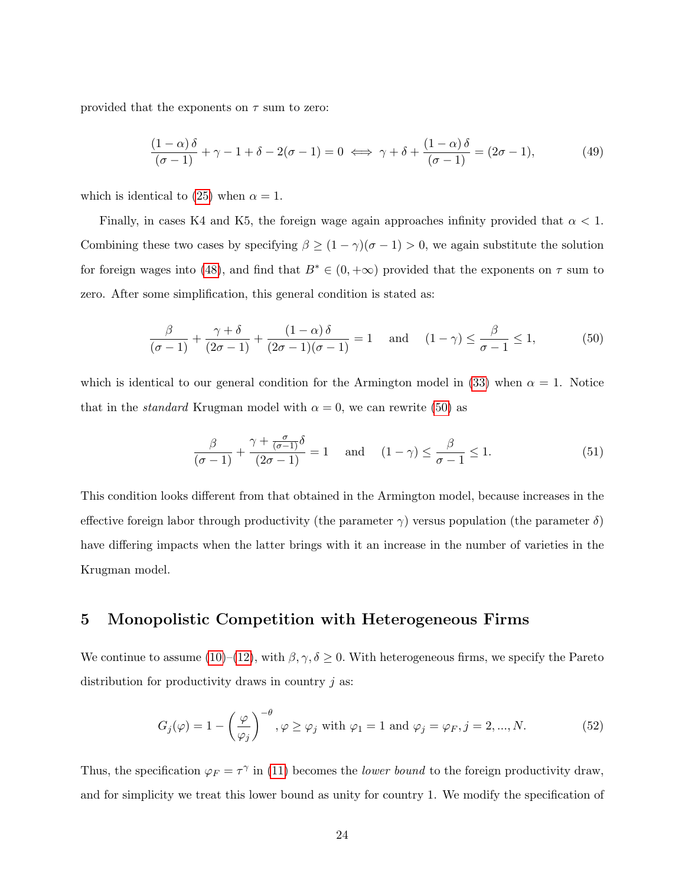provided that the exponents on  $\tau$  sum to zero:

<span id="page-23-2"></span>
$$
\frac{(1-\alpha)\delta}{(\sigma-1)} + \gamma - 1 + \delta - 2(\sigma-1) = 0 \iff \gamma + \delta + \frac{(1-\alpha)\delta}{(\sigma-1)} = (2\sigma - 1),\tag{49}
$$

which is identical to [\(25\)](#page-13-3) when  $\alpha = 1$ .

Finally, in cases K4 and K5, the foreign wage again approaches infinity provided that  $\alpha < 1$ . Combining these two cases by specifying  $\beta \ge (1 - \gamma)(\sigma - 1) > 0$ , we again substitute the solution for foreign wages into [\(48\)](#page-22-0), and find that  $B^* \in (0, +\infty)$  provided that the exponents on  $\tau$  sum to zero. After some simplification, this general condition is stated as:

<span id="page-23-0"></span>
$$
\frac{\beta}{(\sigma-1)} + \frac{\gamma + \delta}{(2\sigma - 1)} + \frac{(1-\alpha)\delta}{(2\sigma - 1)(\sigma - 1)} = 1 \quad \text{and} \quad (1-\gamma) \le \frac{\beta}{\sigma - 1} \le 1,
$$
 (50)

which is identical to our general condition for the Armington model in [\(33\)](#page-16-1) when  $\alpha = 1$ . Notice that in the *standard* Krugman model with  $\alpha = 0$ , we can rewrite [\(50\)](#page-23-0) as

<span id="page-23-3"></span>
$$
\frac{\beta}{(\sigma-1)} + \frac{\gamma + \frac{\sigma}{(\sigma-1)}\delta}{(2\sigma-1)} = 1 \quad \text{and} \quad (1-\gamma) \le \frac{\beta}{\sigma-1} \le 1.
$$
 (51)

This condition looks different from that obtained in the Armington model, because increases in the effective foreign labor through productivity (the parameter  $\gamma$ ) versus population (the parameter  $\delta$ ) have differing impacts when the latter brings with it an increase in the number of varieties in the Krugman model.

## 5 Monopolistic Competition with Heterogeneous Firms

We continue to assume [\(10\)](#page-7-1)–[\(12\)](#page-7-1), with  $\beta, \gamma, \delta \geq 0$ . With heterogeneous firms, we specify the Pareto distribution for productivity draws in country  $j$  as:

<span id="page-23-1"></span>
$$
G_j(\varphi) = 1 - \left(\frac{\varphi}{\varphi_j}\right)^{-\theta}, \varphi \ge \varphi_j \text{ with } \varphi_1 = 1 \text{ and } \varphi_j = \varphi_F, j = 2, ..., N. \tag{52}
$$

Thus, the specification  $\varphi_F = \tau^\gamma$  in [\(11\)](#page-7-1) becomes the *lower bound* to the foreign productivity draw, and for simplicity we treat this lower bound as unity for country 1. We modify the specification of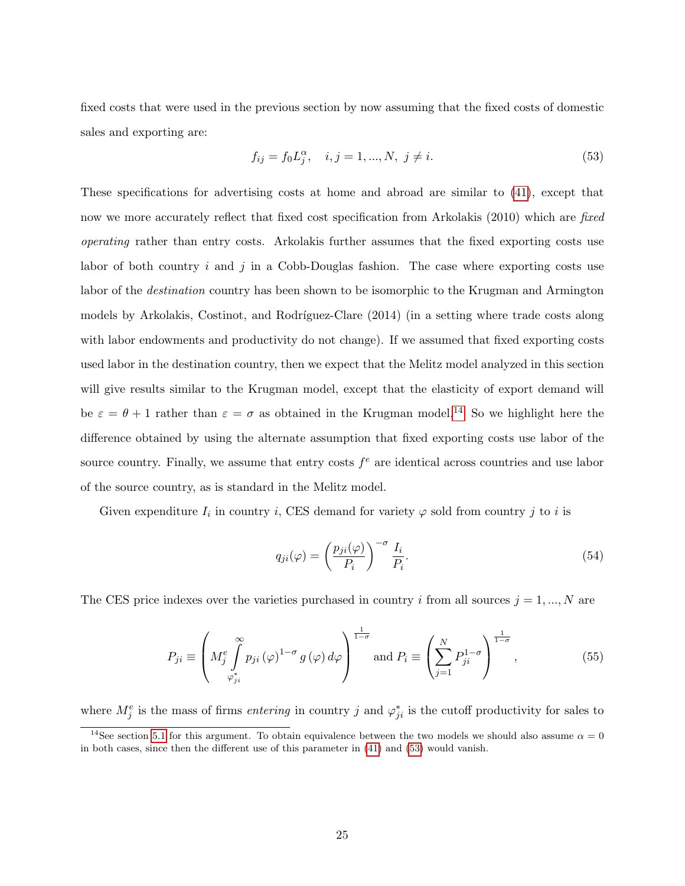fixed costs that were used in the previous section by now assuming that the fixed costs of domestic sales and exporting are:

<span id="page-24-1"></span>
$$
f_{ij} = f_0 L_j^{\alpha}, \quad i, j = 1, ..., N, \ j \neq i.
$$
 (53)

These specifications for advertising costs at home and abroad are similar to [\(41\)](#page-20-1), except that now we more accurately reflect that fixed cost specification from Arkolakis (2010) which are fixed operating rather than entry costs. Arkolakis further assumes that the fixed exporting costs use labor of both country i and j in a Cobb-Douglas fashion. The case where exporting costs use labor of the destination country has been shown to be isomorphic to the Krugman and Armington models by Arkolakis, Costinot, and Rodríguez-Clare (2014) (in a setting where trade costs along with labor endowments and productivity do not change). If we assumed that fixed exporting costs used labor in the destination country, then we expect that the Melitz model analyzed in this section will give results similar to the Krugman model, except that the elasticity of export demand will be  $\varepsilon = \theta + 1$  rather than  $\varepsilon = \sigma$  as obtained in the Krugman model.<sup>[14](#page-24-0)</sup> So we highlight here the difference obtained by using the alternate assumption that fixed exporting costs use labor of the source country. Finally, we assume that entry costs  $f<sup>e</sup>$  are identical across countries and use labor of the source country, as is standard in the Melitz model.

Given expenditure  $I_i$  in country i, CES demand for variety  $\varphi$  sold from country j to i is

$$
q_{ji}(\varphi) = \left(\frac{p_{ji}(\varphi)}{P_i}\right)^{-\sigma} \frac{I_i}{P_i}.\tag{54}
$$

The CES price indexes over the varieties purchased in country i from all sources  $j = 1, ..., N$  are

<span id="page-24-2"></span>
$$
P_{ji} \equiv \left( M_j^e \int_{\varphi_{ji}^*}^{\infty} p_{ji} (\varphi)^{1-\sigma} g(\varphi) d\varphi \right)^{\frac{1}{1-\sigma}} \text{ and } P_i \equiv \left( \sum_{j=1}^N P_{ji}^{1-\sigma} \right)^{\frac{1}{1-\sigma}}, \tag{55}
$$

where  $M_j^e$  is the mass of firms *entering* in country j and  $\varphi_{ji}^*$  is the cutoff productivity for sales to

<span id="page-24-0"></span><sup>&</sup>lt;sup>14</sup>See section [5.1](#page-28-0) for this argument. To obtain equivalence between the two models we should also assume  $\alpha = 0$ in both cases, since then the different use of this parameter in [\(41\)](#page-20-1) and [\(53\)](#page-24-1) would vanish.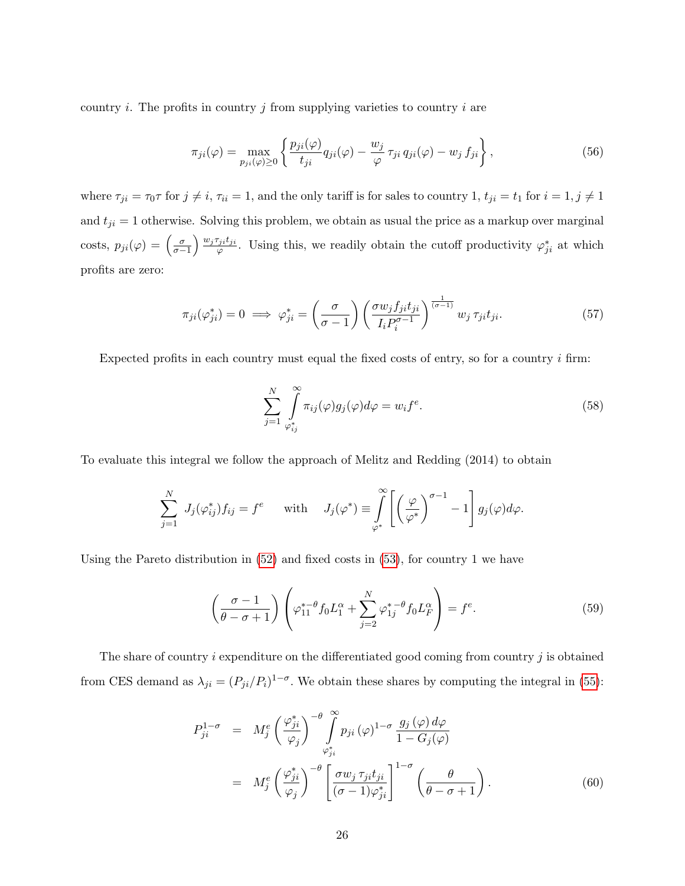country  $i$ . The profits in country  $j$  from supplying varieties to country  $i$  are

$$
\pi_{ji}(\varphi) = \max_{p_{ji}(\varphi) \ge 0} \left\{ \frac{p_{ji}(\varphi)}{t_{ji}} q_{ji}(\varphi) - \frac{w_j}{\varphi} \tau_{ji} q_{ji}(\varphi) - w_j f_{ji} \right\},\tag{56}
$$

where  $\tau_{ji} = \tau_0 \tau$  for  $j \neq i$ ,  $\tau_{ii} = 1$ , and the only tariff is for sales to country 1,  $t_{ji} = t_1$  for  $i = 1, j \neq 1$ and  $t_{ji} = 1$  otherwise. Solving this problem, we obtain as usual the price as a markup over marginal costs,  $p_{ji}(\varphi) = \left(\frac{\sigma}{\sigma-1}\right) \frac{w_j \tau_{ji} t_{ji}}{\varphi}$  $\varphi_{\varphi}^{j_i t_{ji}}$ . Using this, we readily obtain the cutoff productivity  $\varphi_{ji}^*$  at which profits are zero:

<span id="page-25-0"></span>
$$
\pi_{ji}(\varphi_{ji}^*) = 0 \implies \varphi_{ji}^* = \left(\frac{\sigma}{\sigma - 1}\right) \left(\frac{\sigma w_j f_{ji} t_{ji}}{I_i P_i^{\sigma - 1}}\right)^{\frac{1}{(\sigma - 1)}} w_j \tau_{ji} t_{ji}.
$$
\n(57)

Expected profits in each country must equal the fixed costs of entry, so for a country  $i$  firm:

<span id="page-25-1"></span>
$$
\sum_{j=1}^{N} \int_{\varphi_{ij}^*}^{\infty} \pi_{ij}(\varphi) g_j(\varphi) d\varphi = w_i f^e.
$$
\n(58)

To evaluate this integral we follow the approach of Melitz and Redding (2014) to obtain

$$
\sum_{j=1}^N J_j(\varphi_{ij}^*) f_{ij} = f^e \quad \text{with} \quad J_j(\varphi^*) \equiv \int\limits_{\varphi^*}^{\infty} \left[ \left( \frac{\varphi}{\varphi^*} \right)^{\sigma-1} - 1 \right] g_j(\varphi) d\varphi.
$$

Using the Pareto distribution in  $(52)$  and fixed costs in  $(53)$ , for country 1 we have

<span id="page-25-2"></span>
$$
\left(\frac{\sigma-1}{\theta-\sigma+1}\right)\left(\varphi_{11}^{*-\theta}f_0L_1^{\alpha}+\sum_{j=2}^N\varphi_{1j}^{*-\theta}f_0L_F^{\alpha}\right)=f^e.
$$
\n(59)

The share of country  $i$  expenditure on the differentiated good coming from country  $j$  is obtained from CES demand as  $\lambda_{ji} = (P_{ji}/P_i)^{1-\sigma}$ . We obtain these shares by computing the integral in [\(55\)](#page-24-2):

$$
P_{ji}^{1-\sigma} = M_j^e \left(\frac{\varphi_{ji}^*}{\varphi_j}\right)^{-\theta} \int_{\varphi_{ji}^*}^{\infty} p_{ji} (\varphi)^{1-\sigma} \frac{g_j (\varphi) d\varphi}{1 - G_j(\varphi)}
$$
  

$$
= M_j^e \left(\frac{\varphi_{ji}^*}{\varphi_j}\right)^{-\theta} \left[\frac{\sigma w_j \tau_{ji} t_{ji}}{(\sigma - 1)\varphi_{ji}^*}\right]^{1-\sigma} \left(\frac{\theta}{\theta - \sigma + 1}\right). \tag{60}
$$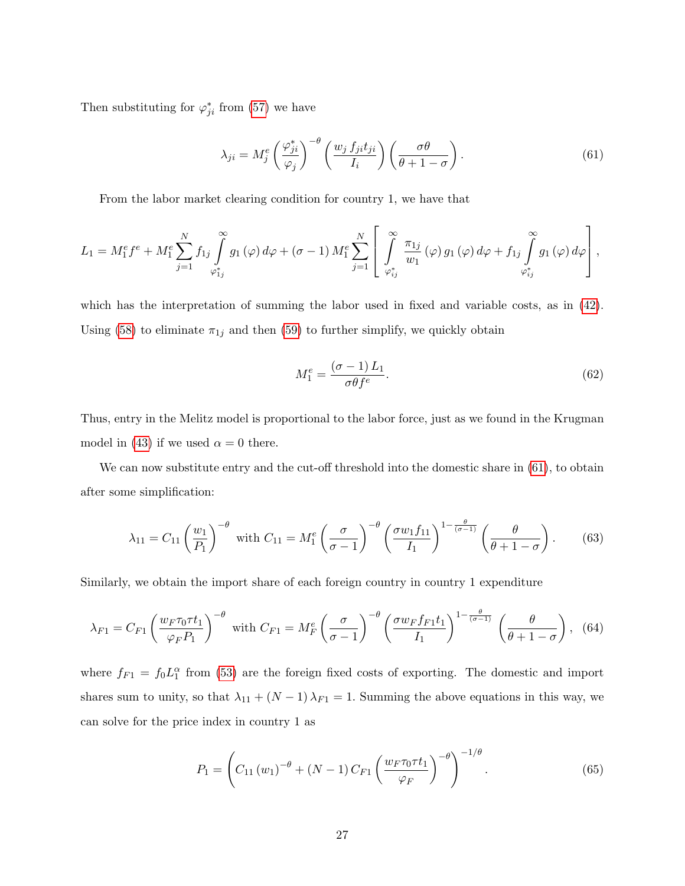Then substituting for  $\varphi_{ji}^*$  from [\(57\)](#page-25-0) we have

<span id="page-26-0"></span>
$$
\lambda_{ji} = M_j^e \left(\frac{\varphi_{ji}^*}{\varphi_j}\right)^{-\theta} \left(\frac{w_j f_{ji} t_{ji}}{I_i}\right) \left(\frac{\sigma \theta}{\theta + 1 - \sigma}\right). \tag{61}
$$

From the labor market clearing condition for country 1, we have that

$$
L_1 = M_1^e f^e + M_1^e \sum_{j=1}^N f_{1j} \int_{\varphi_{1j}^*}^{\infty} g_1(\varphi) d\varphi + (\sigma - 1) M_1^e \sum_{j=1}^N \left[ \int_{\varphi_{ij}^*}^{\infty} \frac{\pi_{1j}}{w_1}(\varphi) g_1(\varphi) d\varphi + f_{1j} \int_{\varphi_{ij}^*}^{\infty} g_1(\varphi) d\varphi \right],
$$

which has the interpretation of summing the labor used in fixed and variable costs, as in [\(42\)](#page-21-3). Using [\(58\)](#page-25-1) to eliminate  $\pi_{1j}$  and then [\(59\)](#page-25-2) to further simplify, we quickly obtain

<span id="page-26-3"></span>
$$
M_1^e = \frac{(\sigma - 1) L_1}{\sigma \theta f^e}.
$$
\n(62)

Thus, entry in the Melitz model is proportional to the labor force, just as we found in the Krugman model in [\(43\)](#page-21-0) if we used  $\alpha = 0$  there.

We can now substitute entry and the cut-off threshold into the domestic share in  $(61)$ , to obtain after some simplification:

<span id="page-26-1"></span>
$$
\lambda_{11} = C_{11} \left(\frac{w_1}{P_1}\right)^{-\theta} \text{ with } C_{11} = M_1^e \left(\frac{\sigma}{\sigma - 1}\right)^{-\theta} \left(\frac{\sigma w_1 f_{11}}{I_1}\right)^{1 - \frac{\theta}{(\sigma - 1)}} \left(\frac{\theta}{\theta + 1 - \sigma}\right). \tag{63}
$$

Similarly, we obtain the import share of each foreign country in country 1 expenditure

<span id="page-26-2"></span>
$$
\lambda_{F1} = C_{F1} \left( \frac{w_F \tau_0 \tau t_1}{\varphi_F P_1} \right)^{-\theta} \text{ with } C_{F1} = M_F^e \left( \frac{\sigma}{\sigma - 1} \right)^{-\theta} \left( \frac{\sigma w_F f_{F1} t_1}{I_1} \right)^{1 - \frac{\theta}{(\sigma - 1)}} \left( \frac{\theta}{\theta + 1 - \sigma} \right), \tag{64}
$$

where  $f_{F1} = f_0 L_1^{\alpha}$  from [\(53\)](#page-24-1) are the foreign fixed costs of exporting. The domestic and import shares sum to unity, so that  $\lambda_{11} + (N-1)\lambda_{F1} = 1$ . Summing the above equations in this way, we can solve for the price index in country 1 as

<span id="page-26-4"></span>
$$
P_1 = \left(C_{11}(w_1)^{-\theta} + (N-1)C_{F1}\left(\frac{w_F \tau_0 \tau t_1}{\varphi_F}\right)^{-\theta}\right)^{-1/\theta}.
$$
 (65)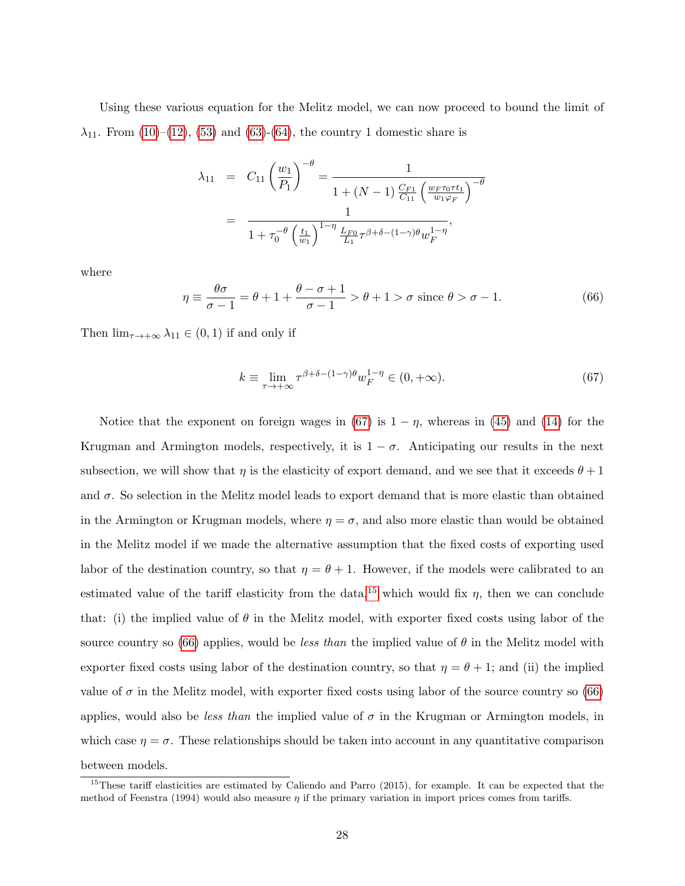Using these various equation for the Melitz model, we can now proceed to bound the limit of  $\lambda_{11}$ . From [\(10\)](#page-7-1)–[\(12\)](#page-7-1), [\(53\)](#page-24-1) and [\(63\)](#page-26-1)–[\(64\)](#page-26-2), the country 1 domestic share is

$$
\lambda_{11} = C_{11} \left(\frac{w_1}{P_1}\right)^{-\theta} = \frac{1}{1 + (N - 1) \frac{C_{F1}}{C_{11}} \left(\frac{w_F \tau_0 \tau t_1}{w_1 \varphi_F}\right)^{-\theta}}
$$

$$
= \frac{1}{1 + \tau_0^{-\theta} \left(\frac{t_1}{w_1}\right)^{1 - \eta} \frac{L_{F0}}{L_1} \tau^{\beta + \delta - (1 - \gamma)\theta} w_F^{1 - \eta}},
$$

where

<span id="page-27-2"></span>
$$
\eta \equiv \frac{\theta \sigma}{\sigma - 1} = \theta + 1 + \frac{\theta - \sigma + 1}{\sigma - 1} > \theta + 1 > \sigma \text{ since } \theta > \sigma - 1.
$$
 (66)

Then  $\lim_{\tau \to +\infty} \lambda_{11} \in (0,1)$  if and only if

<span id="page-27-0"></span>
$$
k \equiv \lim_{\tau \to +\infty} \tau^{\beta + \delta - (1-\gamma)\theta} w_F^{1-\eta} \in (0, +\infty). \tag{67}
$$

Notice that the exponent on foreign wages in [\(67\)](#page-27-0) is  $1 - \eta$ , whereas in [\(45\)](#page-21-1) and [\(14\)](#page-8-0) for the Krugman and Armington models, respectively, it is  $1 - \sigma$ . Anticipating our results in the next subsection, we will show that  $\eta$  is the elasticity of export demand, and we see that it exceeds  $\theta + 1$ and  $\sigma$ . So selection in the Melitz model leads to export demand that is more elastic than obtained in the Armington or Krugman models, where  $\eta = \sigma$ , and also more elastic than would be obtained in the Melitz model if we made the alternative assumption that the fixed costs of exporting used labor of the destination country, so that  $\eta = \theta + 1$ . However, if the models were calibrated to an estimated value of the tariff elasticity from the data,<sup>[15](#page-27-1)</sup> which would fix  $\eta$ , then we can conclude that: (i) the implied value of  $\theta$  in the Melitz model, with exporter fixed costs using labor of the source country so [\(66\)](#page-27-2) applies, would be *less than* the implied value of  $\theta$  in the Melitz model with exporter fixed costs using labor of the destination country, so that  $\eta = \theta + 1$ ; and (ii) the implied value of  $\sigma$  in the Melitz model, with exporter fixed costs using labor of the source country so [\(66\)](#page-27-2) applies, would also be *less than* the implied value of  $\sigma$  in the Krugman or Armington models, in which case  $\eta = \sigma$ . These relationships should be taken into account in any quantitative comparison between models.

<span id="page-27-1"></span><sup>&</sup>lt;sup>15</sup>These tariff elasticities are estimated by Caliendo and Parro  $(2015)$ , for example. It can be expected that the method of Feenstra (1994) would also measure  $\eta$  if the primary variation in import prices comes from tariffs.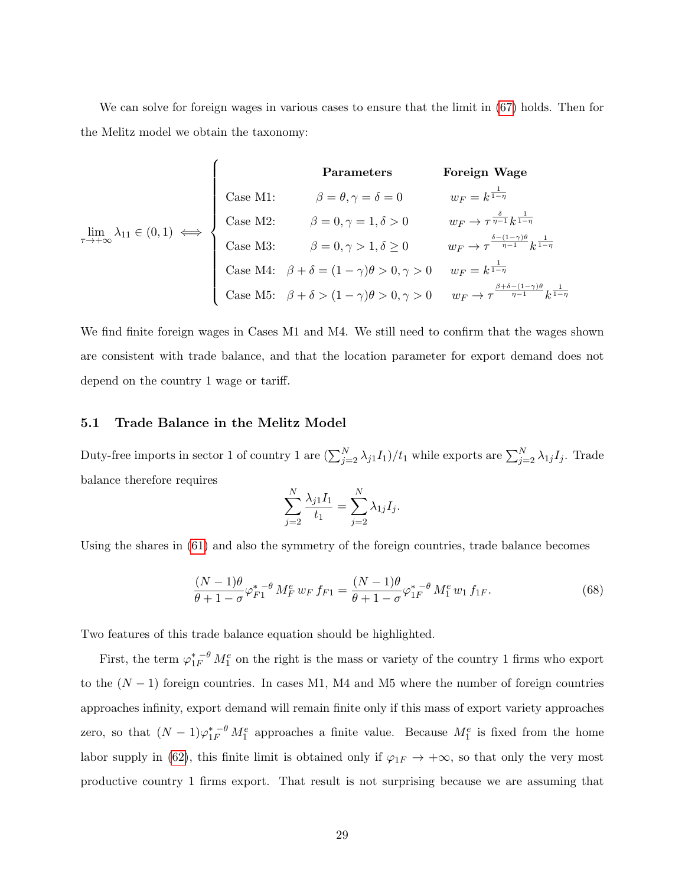We can solve for foreign wages in various cases to ensure that the limit in [\(67\)](#page-27-0) holds. Then for the Melitz model we obtain the taxonomy:

| Parameters                                                  |                                                                      | Foreign wage                                                                           |                                                             |                                                             |                                                             |                                                                   |                                                                                        |
|-------------------------------------------------------------|----------------------------------------------------------------------|----------------------------------------------------------------------------------------|-------------------------------------------------------------|-------------------------------------------------------------|-------------------------------------------------------------|-------------------------------------------------------------------|----------------------------------------------------------------------------------------|
| \n $w_F = k^{\frac{1}{1-\eta}}$ \n                          | \n $\lim_{\tau \to +\infty} \lambda_{11} \in (0,1) \iff$ \n          | \n $\lim_{\tau \to +\infty} \lambda_{11} \in (0,1) \iff$ \n                            | \n $\lim_{\tau \to +\infty} \lambda_{11} \in (0,1) \iff$ \n | \n $\lim_{\tau \to +\infty} \lambda_{11} \in (0,1) \iff$ \n | \n $\lim_{\tau \to +\infty} \lambda_{11} \in (0,1) \iff$ \n | \n $\lim_{\tau \to +\infty} \beta = 0, \gamma = 1, \delta > 0$ \n | \n $w_F \to \tau^{\frac{\delta - (1-\gamma)\theta}{\eta - 1}} k^{\frac{1}{1-\eta}}$ \n |
| \n $\lim_{\tau \to +\infty} \lambda_{11} \in (0,1) \iff$ \n | \n $\lim_{\tau \to +\infty} \beta = 0, \gamma > 1, \delta \geq 0$ \n | \n $w_F \to \tau^{\frac{\delta - (1-\gamma)\theta}{\eta - 1}} k^{\frac{1}{1-\eta}}$ \n |                                                             |                                                             |                                                             |                                                                   |                                                                                        |
| \n $\lim_{\tau \to +\infty} \lambda_{11} \in (0,1) \iff$ \n | \n $\lim_{\tau \to +\infty} \beta = 0, \gamma > 1, \delta \geq 0$ \n | \n $w_F \to \tau^{\frac{\delta - (1-\gamma)\theta}{\eta - 1}} k^{\frac{1}{1-\eta}}$ \n |                                                             |                                                             |                                                             |                                                                   |                                                                                        |
| \n $\lim_{\tau \to +\infty} \lambda_{11} \in (0,1) \iff$ \n | \n $\lim_{\tau \to +\infty} \beta = 0, \gamma > 1, \delta \geq 0$ \n | \n $w_F \to \tau^{\frac{\delta - (1-\gamma)\theta}{\eta - 1}} k^{\frac{1$              |                                                             |                                                             |                                                             |                                                                   |                                                                                        |

We find finite foreign wages in Cases M1 and M4. We still need to confirm that the wages shown are consistent with trade balance, and that the location parameter for export demand does not depend on the country 1 wage or tariff.

#### <span id="page-28-0"></span>5.1 Trade Balance in the Melitz Model

Duty-free imports in sector 1 of country 1 are  $(\sum_{j=2}^{N} \lambda_{j1} I_1)/t_1$  while exports are  $\sum_{j=2}^{N} \lambda_{1j} I_j$ . Trade balance therefore requires

$$
\sum_{j=2}^{N} \frac{\lambda_{j1} I_1}{t_1} = \sum_{j=2}^{N} \lambda_{1j} I_j.
$$

Using the shares in [\(61\)](#page-26-0) and also the symmetry of the foreign countries, trade balance becomes

<span id="page-28-1"></span>
$$
\frac{(N-1)\theta}{\theta+1-\sigma}\varphi_{F1}^{*-\theta}M_{F}^{e}w_{F}f_{F1} = \frac{(N-1)\theta}{\theta+1-\sigma}\varphi_{1F}^{*-\theta}M_{1}^{e}w_{1}f_{1F}.
$$
\n(68)

Two features of this trade balance equation should be highlighted.

First, the term  $\varphi_{1F}^{*-\theta} M_1^e$  on the right is the mass or variety of the country 1 firms who export to the  $(N-1)$  foreign countries. In cases M1, M4 and M5 where the number of foreign countries approaches infinity, export demand will remain finite only if this mass of export variety approaches zero, so that  $(N-1)\varphi_{1F}^{*-\theta}M_1^e$  approaches a finite value. Because  $M_1^e$  is fixed from the home labor supply in [\(62\)](#page-26-3), this finite limit is obtained only if  $\varphi_{1F} \to +\infty$ , so that only the very most productive country 1 firms export. That result is not surprising because we are assuming that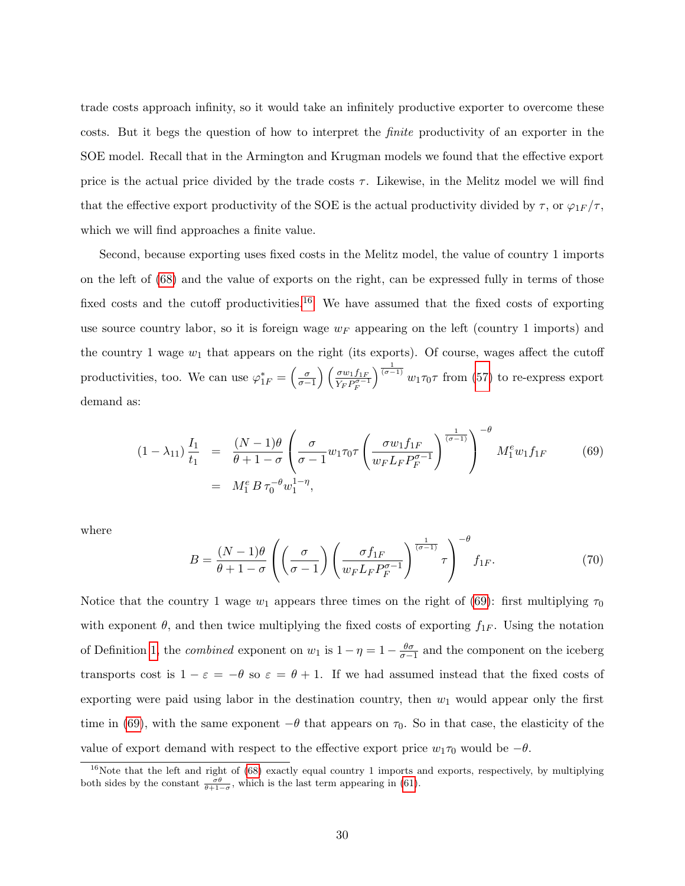trade costs approach infinity, so it would take an infinitely productive exporter to overcome these costs. But it begs the question of how to interpret the finite productivity of an exporter in the SOE model. Recall that in the Armington and Krugman models we found that the effective export price is the actual price divided by the trade costs  $\tau$ . Likewise, in the Melitz model we will find that the effective export productivity of the SOE is the actual productivity divided by  $\tau$ , or  $\varphi_{1F}/\tau$ , which we will find approaches a finite value.

Second, because exporting uses fixed costs in the Melitz model, the value of country 1 imports on the left of [\(68\)](#page-28-1) and the value of exports on the right, can be expressed fully in terms of those fixed costs and the cutoff productivities.<sup>[16](#page-29-0)</sup> We have assumed that the fixed costs of exporting use source country labor, so it is foreign wage  $w_F$  appearing on the left (country 1 imports) and the country 1 wage  $w_1$  that appears on the right (its exports). Of course, wages affect the cutoff productivities, too. We can use  $\varphi_{1F}^* = \left(\frac{\sigma}{\sigma-1}\right) \left(\frac{\sigma w_1 f_{1F}}{Y_F P_{\sigma-1}^{\sigma-1}}\right)$  $\overline{Y_F P_F^{\sigma-1}}$  $\int_{0}^{\frac{1}{(\sigma-1)}} w_1 \tau_0 \tau$  from [\(57\)](#page-25-0) to re-express export demand as:

<span id="page-29-1"></span>
$$
(1 - \lambda_{11}) \frac{I_1}{t_1} = \frac{(N - 1)\theta}{\theta + 1 - \sigma} \left( \frac{\sigma}{\sigma - 1} w_1 \tau_0 \tau \left( \frac{\sigma w_1 f_{1F}}{w_F L_F P_F^{\sigma - 1}} \right)^{-\theta} M_1^e w_1 f_{1F} \qquad (69)
$$
  
=  $M_1^e B \tau_0^{-\theta} w_1^{1 - \eta}$ ,

where

$$
B = \frac{(N-1)\theta}{\theta+1-\sigma} \left( \left( \frac{\sigma}{\sigma-1} \right) \left( \frac{\sigma f_{1F}}{w_F L_F P_F^{\sigma-1}} \right)^{\frac{1}{(\sigma-1)}} \tau \right)^{-\theta} f_{1F}.
$$
 (70)

Notice that the country 1 wage  $w_1$  appears three times on the right of [\(69\)](#page-29-1): first multiplying  $\tau_0$ with exponent  $\theta$ , and then twice multiplying the fixed costs of exporting  $f_{1F}$ . Using the notation of Definition [1,](#page-11-3) the *combined* exponent on  $w_1$  is  $1 - \eta = 1 - \frac{\theta \sigma}{\sigma - 1}$  and the component on the iceberg transports cost is  $1 - \varepsilon = -\theta$  so  $\varepsilon = \theta + 1$ . If we had assumed instead that the fixed costs of exporting were paid using labor in the destination country, then  $w_1$  would appear only the first time in [\(69\)](#page-29-1), with the same exponent  $-\theta$  that appears on  $\tau_0$ . So in that case, the elasticity of the value of export demand with respect to the effective export price  $w_1\tau_0$  would be  $-\theta$ .

<span id="page-29-0"></span> $16N$ ote that the left and right of [\(68\)](#page-28-1) exactly equal country 1 imports and exports, respectively, by multiplying both sides by the constant  $\frac{\sigma\theta}{\theta+1-\sigma}$ , which is the last term appearing in [\(61\)](#page-26-0).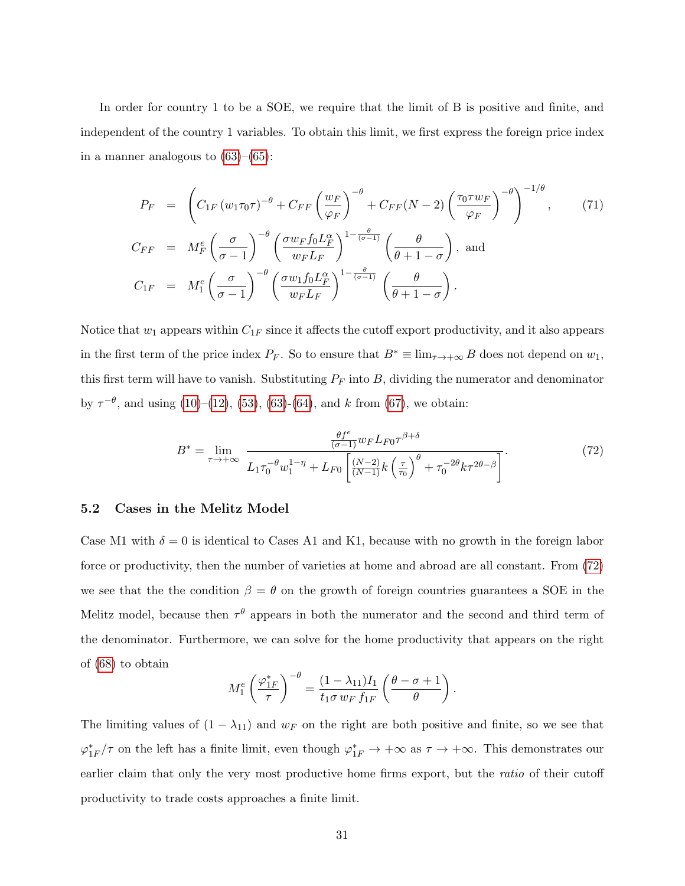In order for country 1 to be a SOE, we require that the limit of B is positive and finite, and independent of the country 1 variables. To obtain this limit, we first express the foreign price index in a manner analogous to  $(63)–(65)$  $(63)–(65)$  $(63)–(65)$ :

$$
P_F = \left( C_{1F} (w_1 \tau_0 \tau)^{-\theta} + C_{FF} \left( \frac{w_F}{\varphi_F} \right)^{-\theta} + C_{FF} (N - 2) \left( \frac{\tau_0 \tau w_F}{\varphi_F} \right)^{-\theta} \right)^{-1/\theta}, \qquad (71)
$$
  
\n
$$
C_{FF} = M_F^e \left( \frac{\sigma}{\sigma - 1} \right)^{-\theta} \left( \frac{\sigma w_F f_0 L_F^{\alpha}}{w_F L_F} \right)^{1 - \frac{\theta}{(\sigma - 1)}} \left( \frac{\theta}{\theta + 1 - \sigma} \right), \text{ and}
$$
  
\n
$$
C_{1F} = M_1^e \left( \frac{\sigma}{\sigma - 1} \right)^{-\theta} \left( \frac{\sigma w_1 f_0 L_F^{\alpha}}{w_F L_F} \right)^{1 - \frac{\theta}{(\sigma - 1)}} \left( \frac{\theta}{\theta + 1 - \sigma} \right).
$$

Notice that  $w_1$  appears within  $C_{1F}$  since it affects the cutoff export productivity, and it also appears in the first term of the price index  $P_F$ . So to ensure that  $B^* \equiv \lim_{\tau \to +\infty} B$  does not depend on  $w_1$ , this first term will have to vanish. Substituting  $P_F$  into  $B$ , dividing the numerator and denominator by  $\tau^{-\theta}$ , and using [\(10\)](#page-7-1)–[\(12\)](#page-7-1), [\(53\)](#page-24-1), [\(63\)](#page-26-1)-[\(64\)](#page-26-2), and k from [\(67\)](#page-27-0), we obtain:

<span id="page-30-0"></span>
$$
B^* = \lim_{\tau \to +\infty} \frac{\frac{\theta f^e}{(\sigma - 1)} w_F L_{F0} \tau^{\beta + \delta}}{L_1 \tau_0^{-\theta} w_1^{1 - \eta} + L_{F0} \left[ \frac{(N - 2)}{(N - 1)} k \left( \frac{\tau}{\tau_0} \right)^{\theta} + \tau_0^{-2\theta} k \tau^{2\theta - \beta} \right]}.
$$
(72)

#### 5.2 Cases in the Melitz Model

Case M1 with  $\delta = 0$  is identical to Cases A1 and K1, because with no growth in the foreign labor force or productivity, then the number of varieties at home and abroad are all constant. From [\(72\)](#page-30-0) we see that the the condition  $\beta = \theta$  on the growth of foreign countries guarantees a SOE in the Melitz model, because then  $\tau^{\theta}$  appears in both the numerator and the second and third term of the denominator. Furthermore, we can solve for the home productivity that appears on the right of [\(68\)](#page-28-1) to obtain

$$
M_1^e \left(\frac{\varphi_{1F}^*}{\tau}\right)^{-\theta} = \frac{(1 - \lambda_{11})I_1}{t_1 \sigma w_F f_{1F}} \left(\frac{\theta - \sigma + 1}{\theta}\right).
$$

The limiting values of  $(1 - \lambda_{11})$  and  $w_F$  on the right are both positive and finite, so we see that  $\varphi_{1F}^*/\tau$  on the left has a finite limit, even though  $\varphi_{1F}^* \to +\infty$  as  $\tau \to +\infty$ . This demonstrates our earlier claim that only the very most productive home firms export, but the *ratio* of their cutoff productivity to trade costs approaches a finite limit.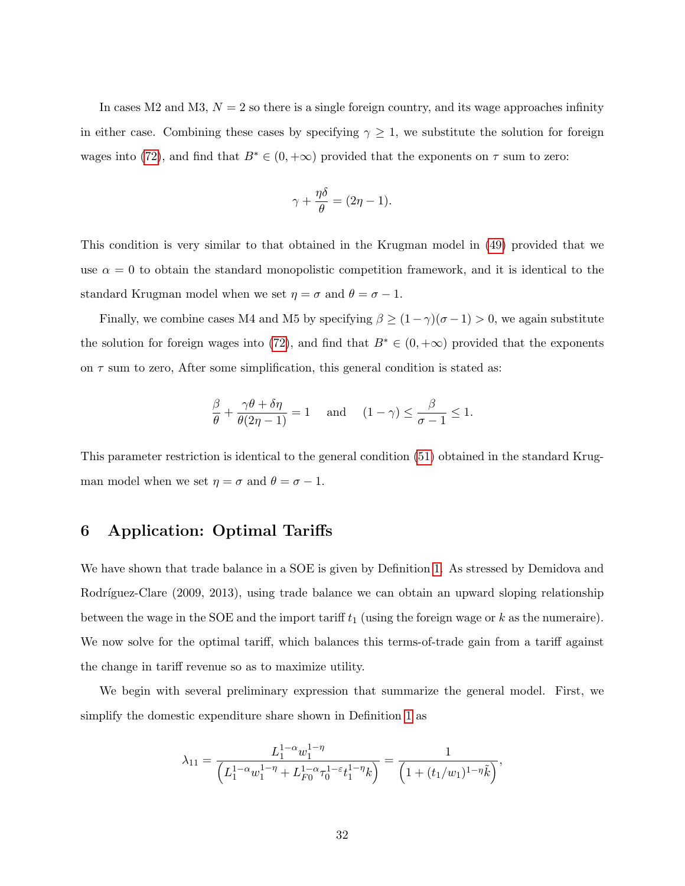In cases M2 and M3,  $N = 2$  so there is a single foreign country, and its wage approaches infinity in either case. Combining these cases by specifying  $\gamma \geq 1$ , we substitute the solution for foreign wages into [\(72\)](#page-30-0), and find that  $B^* \in (0, +\infty)$  provided that the exponents on  $\tau$  sum to zero:

$$
\gamma + \frac{\eta \delta}{\theta} = (2\eta - 1).
$$

This condition is very similar to that obtained in the Krugman model in [\(49\)](#page-23-2) provided that we use  $\alpha = 0$  to obtain the standard monopolistic competition framework, and it is identical to the standard Krugman model when we set  $\eta = \sigma$  and  $\theta = \sigma - 1$ .

Finally, we combine cases M4 and M5 by specifying  $\beta \ge (1-\gamma)(\sigma-1) > 0$ , we again substitute the solution for foreign wages into [\(72\)](#page-30-0), and find that  $B^* \in (0, +\infty)$  provided that the exponents on  $\tau$  sum to zero, After some simplification, this general condition is stated as:

$$
\frac{\beta}{\theta} + \frac{\gamma \theta + \delta \eta}{\theta (2\eta - 1)} = 1 \quad \text{and} \quad (1 - \gamma) \le \frac{\beta}{\sigma - 1} \le 1.
$$

This parameter restriction is identical to the general condition [\(51\)](#page-23-3) obtained in the standard Krugman model when we set  $\eta = \sigma$  and  $\theta = \sigma - 1$ .

# <span id="page-31-0"></span>6 Application: Optimal Tariffs

We have shown that trade balance in a SOE is given by Definition [1.](#page-11-3) As stressed by Demidova and Rodríguez-Clare (2009, 2013), using trade balance we can obtain an upward sloping relationship between the wage in the SOE and the import tariff  $t_1$  (using the foreign wage or k as the numeraire). We now solve for the optimal tariff, which balances this terms-of-trade gain from a tariff against the change in tariff revenue so as to maximize utility.

We begin with several preliminary expression that summarize the general model. First, we simplify the domestic expenditure share shown in Definition [1](#page-11-3) as

$$
\lambda_{11} = \frac{L_1^{1-\alpha} w_1^{1-\eta}}{\left(L_1^{1-\alpha} w_1^{1-\eta} + L_{F0}^{1-\alpha} \tau_0^{1-\varepsilon} t_1^{1-\eta} k\right)} = \frac{1}{\left(1 + (t_1/w_1)^{1-\eta} \tilde{k}\right)},
$$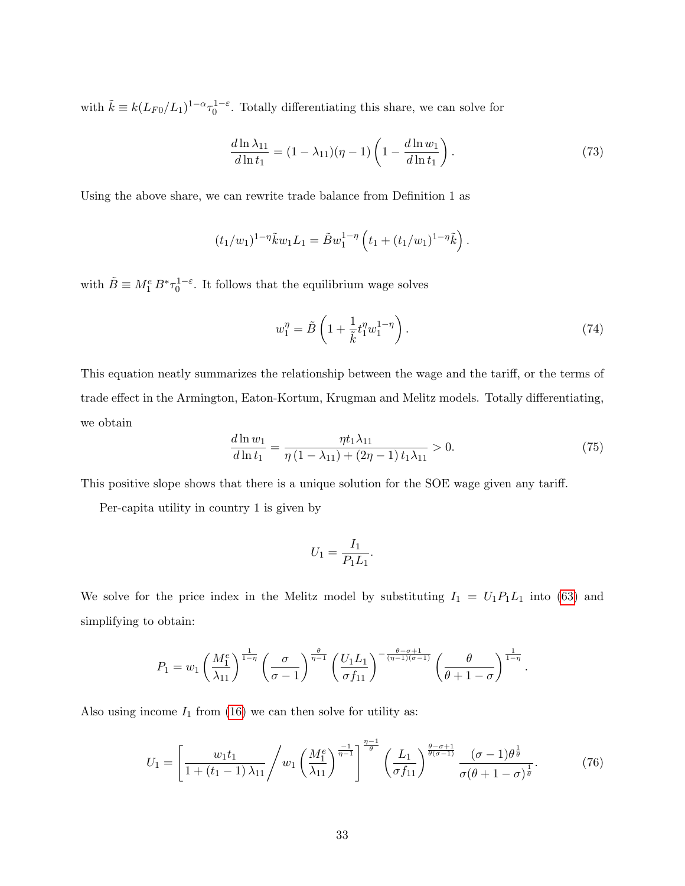with  $\tilde{k} \equiv k(L_{F0}/L_1)^{1-\alpha} \tau_0^{1-\epsilon}$ . Totally differentiating this share, we can solve for

<span id="page-32-1"></span>
$$
\frac{d\ln\lambda_{11}}{d\ln t_1} = (1 - \lambda_{11})(\eta - 1)\left(1 - \frac{d\ln w_1}{d\ln t_1}\right). \tag{73}
$$

Using the above share, we can rewrite trade balance from Definition 1 as

$$
(t_1/w_1)^{1-\eta} \tilde{k} w_1 L_1 = \tilde{B} w_1^{1-\eta} \left( t_1 + (t_1/w_1)^{1-\eta} \tilde{k} \right).
$$

with  $\tilde{B} \equiv M_1^e B^* \tau_0^{1-\varepsilon}$ . It follows that the equilibrium wage solves

$$
w_1^{\eta} = \tilde{B}\left(1 + \frac{1}{\tilde{k}}t_1^{\eta}w_1^{1-\eta}\right). \tag{74}
$$

This equation neatly summarizes the relationship between the wage and the tariff, or the terms of trade effect in the Armington, Eaton-Kortum, Krugman and Melitz models. Totally differentiating, we obtain

<span id="page-32-2"></span>
$$
\frac{d\ln w_1}{d\ln t_1} = \frac{\eta t_1 \lambda_{11}}{\eta \left(1 - \lambda_{11}\right) + \left(2\eta - 1\right) t_1 \lambda_{11}} > 0. \tag{75}
$$

This positive slope shows that there is a unique solution for the SOE wage given any tariff.

Per-capita utility in country 1 is given by

$$
U_1 = \frac{I_1}{P_1 L_1}.
$$

We solve for the price index in the Melitz model by substituting  $I_1 = U_1 P_1 L_1$  into [\(63\)](#page-26-1) and simplifying to obtain:

$$
P_1 = w_1 \left(\frac{M_1^e}{\lambda_{11}}\right)^{\frac{1}{1-\eta}} \left(\frac{\sigma}{\sigma-1}\right)^{\frac{\theta}{\eta-1}} \left(\frac{U_1 L_1}{\sigma f_{11}}\right)^{-\frac{\theta-\sigma+1}{(\eta-1)(\sigma-1)}} \left(\frac{\theta}{\theta+1-\sigma}\right)^{\frac{1}{1-\eta}}.
$$

Also using income  $I_1$  from [\(16\)](#page-9-1) we can then solve for utility as:

<span id="page-32-0"></span>
$$
U_1 = \left[ \frac{w_1 t_1}{1 + (t_1 - 1) \lambda_{11}} \middle/ w_1 \left( \frac{M_1^e}{\lambda_{11}} \right)^{\frac{-1}{\eta - 1}} \right]^{\frac{\eta - 1}{\theta}} \left( \frac{L_1}{\sigma f_{11}} \right)^{\frac{\theta - \sigma + 1}{\theta(\sigma - 1)}} \frac{(\sigma - 1)\theta^{\frac{1}{\theta}}}{\sigma(\theta + 1 - \sigma)^{\frac{1}{\theta}}}.
$$
(76)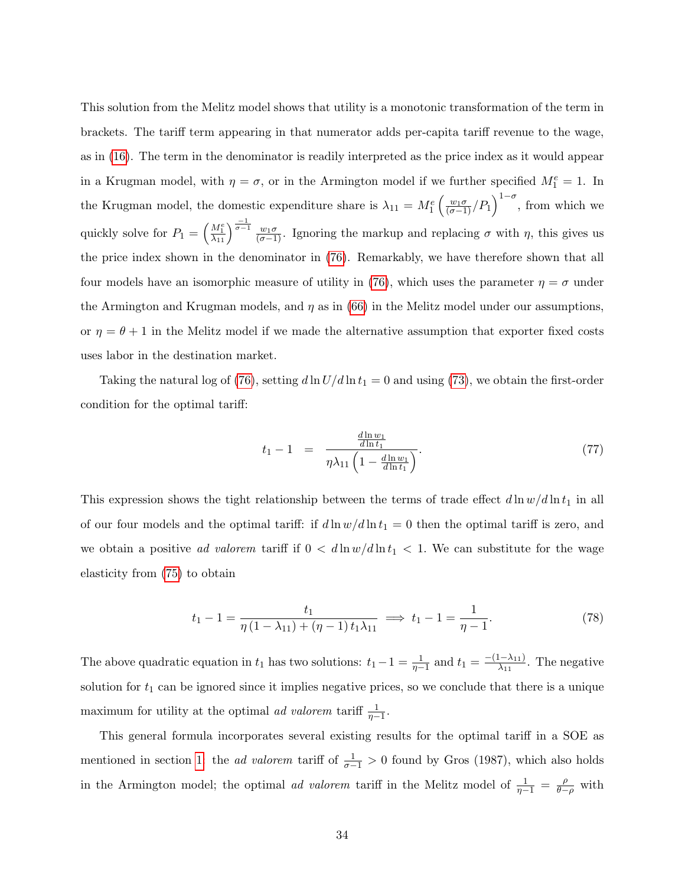This solution from the Melitz model shows that utility is a monotonic transformation of the term in brackets. The tariff term appearing in that numerator adds per-capita tariff revenue to the wage, as in [\(16\)](#page-9-1). The term in the denominator is readily interpreted as the price index as it would appear in a Krugman model, with  $\eta = \sigma$ , or in the Armington model if we further specified  $M_1^e = 1$ . In the Krugman model, the domestic expenditure share is  $\lambda_{11} = M_1^e \left( \frac{w_1 \sigma}{(\sigma - 1)} / P_1 \right)^{1 - \sigma}$ , from which we quickly solve for  $P_1 = \left(\frac{M_1^e}{\lambda_{11}}\right)$  $\frac{M_1^e}{\lambda_{11}}\right)^{\frac{-1}{\sigma-1}}\frac{w_1\sigma}{(\sigma-1)}$ . Ignoring the markup and replacing  $\sigma$  with  $\eta$ , this gives us the price index shown in the denominator in [\(76\)](#page-32-0). Remarkably, we have therefore shown that all four models have an isomorphic measure of utility in [\(76\)](#page-32-0), which uses the parameter  $\eta = \sigma$  under the Armington and Krugman models, and  $\eta$  as in [\(66\)](#page-27-2) in the Melitz model under our assumptions, or  $\eta = \theta + 1$  in the Melitz model if we made the alternative assumption that exporter fixed costs uses labor in the destination market.

Taking the natural log of [\(76\)](#page-32-0), setting  $d \ln U/d \ln t_1 = 0$  and using [\(73\)](#page-32-1), we obtain the first-order condition for the optimal tariff:

<span id="page-33-0"></span>
$$
t_1 - 1 = \frac{\frac{d \ln w_1}{d \ln t_1}}{\eta \lambda_{11} \left(1 - \frac{d \ln w_1}{d \ln t_1}\right)}.
$$
\n(77)

This expression shows the tight relationship between the terms of trade effect  $d \ln w / d \ln t_1$  in all of our four models and the optimal tariff: if  $d \ln w / d \ln t_1 = 0$  then the optimal tariff is zero, and we obtain a positive ad valorem tariff if  $0 < d \ln w / d \ln t_1 < 1$ . We can substitute for the wage elasticity from [\(75\)](#page-32-2) to obtain

$$
t_1 - 1 = \frac{t_1}{\eta \left(1 - \lambda_{11}\right) + \left(\eta - 1\right) t_1 \lambda_{11}} \implies t_1 - 1 = \frac{1}{\eta - 1}.\tag{78}
$$

The above quadratic equation in  $t_1$  has two solutions:  $t_1 - 1 = \frac{1}{\eta - 1}$  and  $t_1 = \frac{-(1 - \lambda_{11})}{\lambda_{11}}$  $\frac{(-\lambda_{11})}{\lambda_{11}}$ . The negative solution for  $t_1$  can be ignored since it implies negative prices, so we conclude that there is a unique maximum for utility at the optimal *ad valorem* tariff  $\frac{1}{\eta-1}$ .

This general formula incorporates several existing results for the optimal tariff in a SOE as mentioned in section [1:](#page-1-1) the *ad valorem* tariff of  $\frac{1}{\sigma-1} > 0$  found by Gros (1987), which also holds in the Armington model; the optimal *ad valorem* tariff in the Melitz model of  $\frac{1}{\eta-1} = \frac{\rho}{\theta-1}$  $\frac{\rho}{\theta-\rho}$  with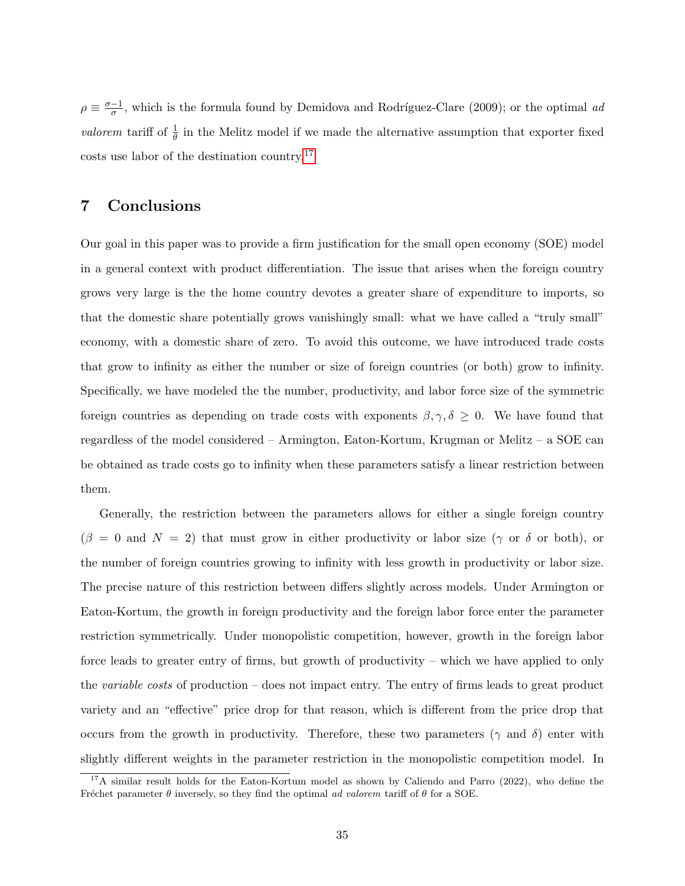$\rho \equiv \frac{\sigma - 1}{\sigma}$  $\frac{-1}{\sigma}$ , which is the formula found by Demidova and Rodríguez-Clare (2009); or the optimal ad valorem tariff of  $\frac{1}{\theta}$  in the Melitz model if we made the alternative assumption that exporter fixed costs use labor of the destination country.[17](#page-34-0)

# 7 Conclusions

Our goal in this paper was to provide a firm justification for the small open economy (SOE) model in a general context with product differentiation. The issue that arises when the foreign country grows very large is the the home country devotes a greater share of expenditure to imports, so that the domestic share potentially grows vanishingly small: what we have called a "truly small" economy, with a domestic share of zero. To avoid this outcome, we have introduced trade costs that grow to infinity as either the number or size of foreign countries (or both) grow to infinity. Specifically, we have modeled the the number, productivity, and labor force size of the symmetric foreign countries as depending on trade costs with exponents  $\beta, \gamma, \delta \geq 0$ . We have found that regardless of the model considered – Armington, Eaton-Kortum, Krugman or Melitz – a SOE can be obtained as trade costs go to infinity when these parameters satisfy a linear restriction between them.

Generally, the restriction between the parameters allows for either a single foreign country  $(\beta = 0 \text{ and } N = 2)$  that must grow in either productivity or labor size  $(\gamma \text{ or } \delta \text{ or both}),$  or the number of foreign countries growing to infinity with less growth in productivity or labor size. The precise nature of this restriction between differs slightly across models. Under Armington or Eaton-Kortum, the growth in foreign productivity and the foreign labor force enter the parameter restriction symmetrically. Under monopolistic competition, however, growth in the foreign labor force leads to greater entry of firms, but growth of productivity – which we have applied to only the variable costs of production – does not impact entry. The entry of firms leads to great product variety and an "effective" price drop for that reason, which is different from the price drop that occurs from the growth in productivity. Therefore, these two parameters ( $\gamma$  and  $\delta$ ) enter with slightly different weights in the parameter restriction in the monopolistic competition model. In

<span id="page-34-0"></span><sup>&</sup>lt;sup>17</sup>A similar result holds for the Eaton-Kortum model as shown by Caliendo and Parro (2022), who define the Fréchet parameter  $\theta$  inversely, so they find the optimal ad valorem tariff of  $\theta$  for a SOE.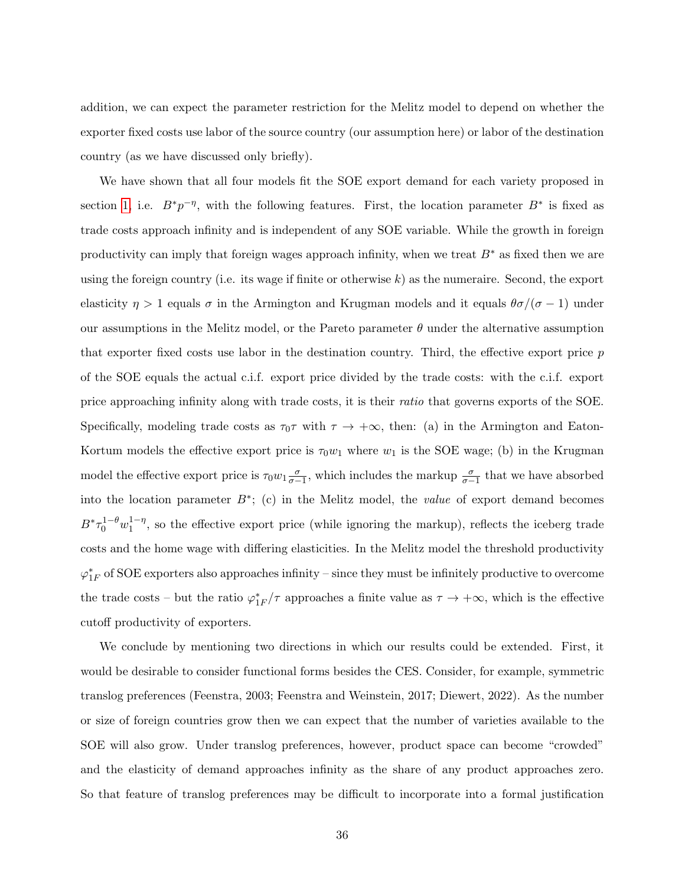addition, we can expect the parameter restriction for the Melitz model to depend on whether the exporter fixed costs use labor of the source country (our assumption here) or labor of the destination country (as we have discussed only briefly).

We have shown that all four models fit the SOE export demand for each variety proposed in section [1,](#page-1-1) i.e.  $B^*p^{-\eta}$ , with the following features. First, the location parameter  $B^*$  is fixed as trade costs approach infinity and is independent of any SOE variable. While the growth in foreign productivity can imply that foreign wages approach infinity, when we treat  $B^*$  as fixed then we are using the foreign country (i.e. its wage if finite or otherwise  $k$ ) as the numeraire. Second, the export elasticity  $\eta > 1$  equals  $\sigma$  in the Armington and Krugman models and it equals  $\theta\sigma/(\sigma-1)$  under our assumptions in the Melitz model, or the Pareto parameter  $\theta$  under the alternative assumption that exporter fixed costs use labor in the destination country. Third, the effective export price p of the SOE equals the actual c.i.f. export price divided by the trade costs: with the c.i.f. export price approaching infinity along with trade costs, it is their ratio that governs exports of the SOE. Specifically, modeling trade costs as  $\tau_0\tau$  with  $\tau \to +\infty$ , then: (a) in the Armington and Eaton-Kortum models the effective export price is  $\tau_0w_1$  where  $w_1$  is the SOE wage; (b) in the Krugman model the effective export price is  $\tau_0 w_1 \frac{\sigma}{\sigma-1}$ , which includes the markup  $\frac{\sigma}{\sigma-1}$  that we have absorbed into the location parameter  $B^*$ ; (c) in the Melitz model, the *value* of export demand becomes  $B^* \tau_0^{1-\theta} w_1^{1-\eta}$  $1-\eta$ , so the effective export price (while ignoring the markup), reflects the iceberg trade costs and the home wage with differing elasticities. In the Melitz model the threshold productivity  $\varphi_{1F}^*$  of SOE exporters also approaches infinity – since they must be infinitely productive to overcome the trade costs – but the ratio  $\varphi_{1F}^*/\tau$  approaches a finite value as  $\tau \to +\infty$ , which is the effective cutoff productivity of exporters.

We conclude by mentioning two directions in which our results could be extended. First, it would be desirable to consider functional forms besides the CES. Consider, for example, symmetric translog preferences (Feenstra, 2003; Feenstra and Weinstein, 2017; Diewert, 2022). As the number or size of foreign countries grow then we can expect that the number of varieties available to the SOE will also grow. Under translog preferences, however, product space can become "crowded" and the elasticity of demand approaches infinity as the share of any product approaches zero. So that feature of translog preferences may be difficult to incorporate into a formal justification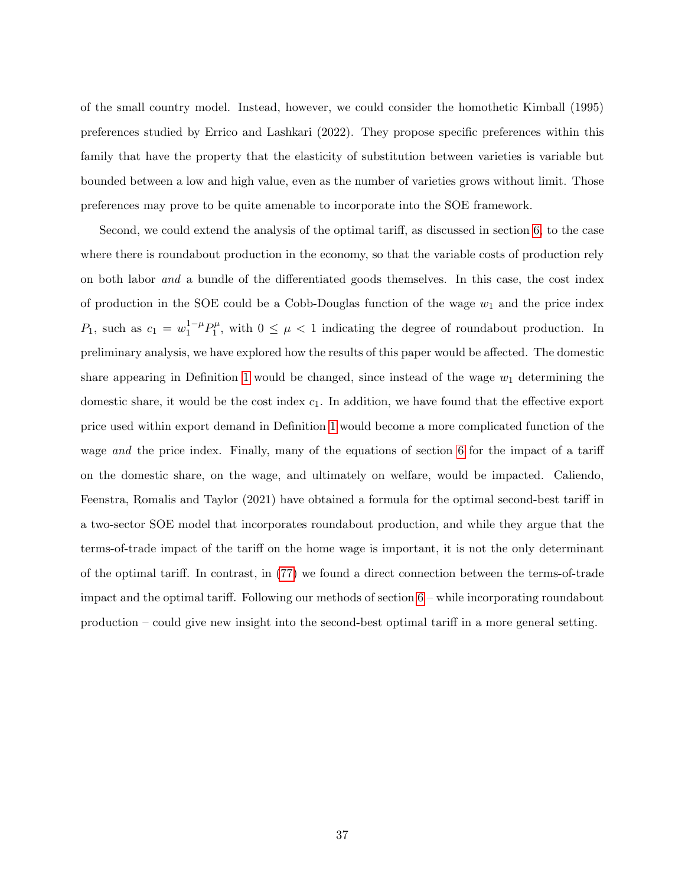of the small country model. Instead, however, we could consider the homothetic Kimball (1995) preferences studied by Errico and Lashkari (2022). They propose specific preferences within this family that have the property that the elasticity of substitution between varieties is variable but bounded between a low and high value, even as the number of varieties grows without limit. Those preferences may prove to be quite amenable to incorporate into the SOE framework.

Second, we could extend the analysis of the optimal tariff, as discussed in section [6,](#page-31-0) to the case where there is roundabout production in the economy, so that the variable costs of production rely on both labor and a bundle of the differentiated goods themselves. In this case, the cost index of production in the SOE could be a Cobb-Douglas function of the wage  $w_1$  and the price index  $P_1$ , such as  $c_1 = w_1^{1-\mu} P_1^{\mu}$  $1^{\mu}$ , with  $0 \leq \mu < 1$  indicating the degree of roundabout production. In preliminary analysis, we have explored how the results of this paper would be affected. The domestic share appearing in Definition [1](#page-11-3) would be changed, since instead of the wage  $w_1$  determining the domestic share, it would be the cost index  $c_1$ . In addition, we have found that the effective export price used within export demand in Definition [1](#page-11-3) would become a more complicated function of the wage and the price index. Finally, many of the equations of section [6](#page-31-0) for the impact of a tariff on the domestic share, on the wage, and ultimately on welfare, would be impacted. Caliendo, Feenstra, Romalis and Taylor (2021) have obtained a formula for the optimal second-best tariff in a two-sector SOE model that incorporates roundabout production, and while they argue that the terms-of-trade impact of the tariff on the home wage is important, it is not the only determinant of the optimal tariff. In contrast, in [\(77\)](#page-33-0) we found a direct connection between the terms-of-trade impact and the optimal tariff. Following our methods of section [6](#page-31-0) – while incorporating roundabout production – could give new insight into the second-best optimal tariff in a more general setting.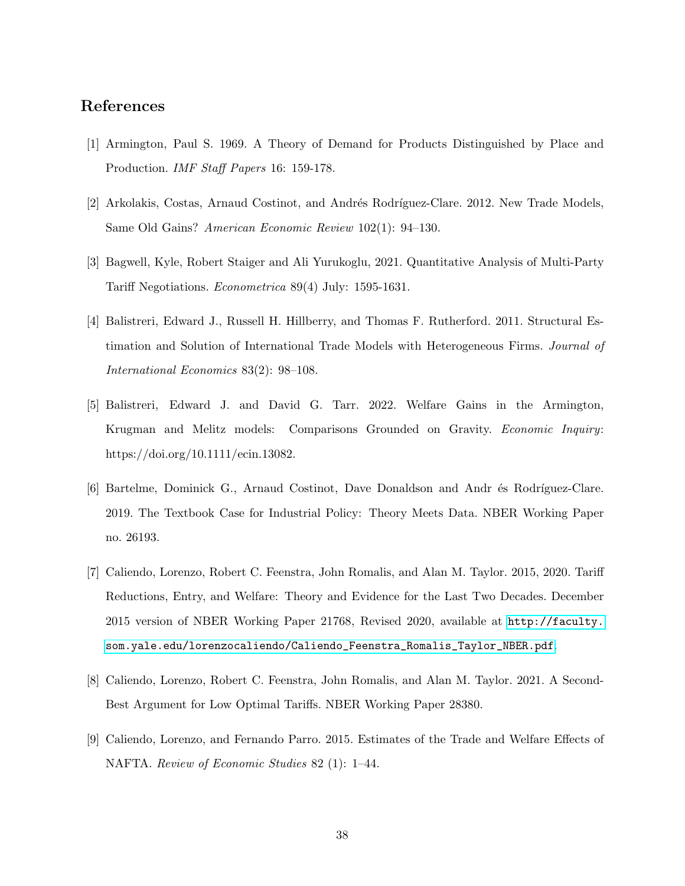# References

- [1] Armington, Paul S. 1969. A Theory of Demand for Products Distinguished by Place and Production. IMF Staff Papers 16: 159-178.
- [2] Arkolakis, Costas, Arnaud Costinot, and Andrés Rodríguez-Clare. 2012. New Trade Models, Same Old Gains? American Economic Review 102(1): 94–130.
- [3] Bagwell, Kyle, Robert Staiger and Ali Yurukoglu, 2021. Quantitative Analysis of Multi-Party Tariff Negotiations. Econometrica 89(4) July: 1595-1631.
- [4] Balistreri, Edward J., Russell H. Hillberry, and Thomas F. Rutherford. 2011. Structural Estimation and Solution of International Trade Models with Heterogeneous Firms. Journal of International Economics 83(2): 98–108.
- [5] Balistreri, Edward J. and David G. Tarr. 2022. Welfare Gains in the Armington, Krugman and Melitz models: Comparisons Grounded on Gravity. Economic Inquiry: https://doi.org/10.1111/ecin.13082.
- [6] Bartelme, Dominick G., Arnaud Costinot, Dave Donaldson and Andr és Rodríguez-Clare. 2019. The Textbook Case for Industrial Policy: Theory Meets Data. NBER Working Paper no. 26193.
- [7] Caliendo, Lorenzo, Robert C. Feenstra, John Romalis, and Alan M. Taylor. 2015, 2020. Tariff Reductions, Entry, and Welfare: Theory and Evidence for the Last Two Decades. December 2015 version of NBER Working Paper 21768, Revised 2020, available at [http://faculty.](http://faculty.som.yale.edu/lorenzocaliendo/Caliendo_Feenstra_Romalis_Taylor_NBER.pdf) [som.yale.edu/lorenzocaliendo/Caliendo\\_Feenstra\\_Romalis\\_Taylor\\_NBER.pdf](http://faculty.som.yale.edu/lorenzocaliendo/Caliendo_Feenstra_Romalis_Taylor_NBER.pdf).
- [8] Caliendo, Lorenzo, Robert C. Feenstra, John Romalis, and Alan M. Taylor. 2021. A Second-Best Argument for Low Optimal Tariffs. NBER Working Paper 28380.
- [9] Caliendo, Lorenzo, and Fernando Parro. 2015. Estimates of the Trade and Welfare Effects of NAFTA. Review of Economic Studies 82 (1): 1–44.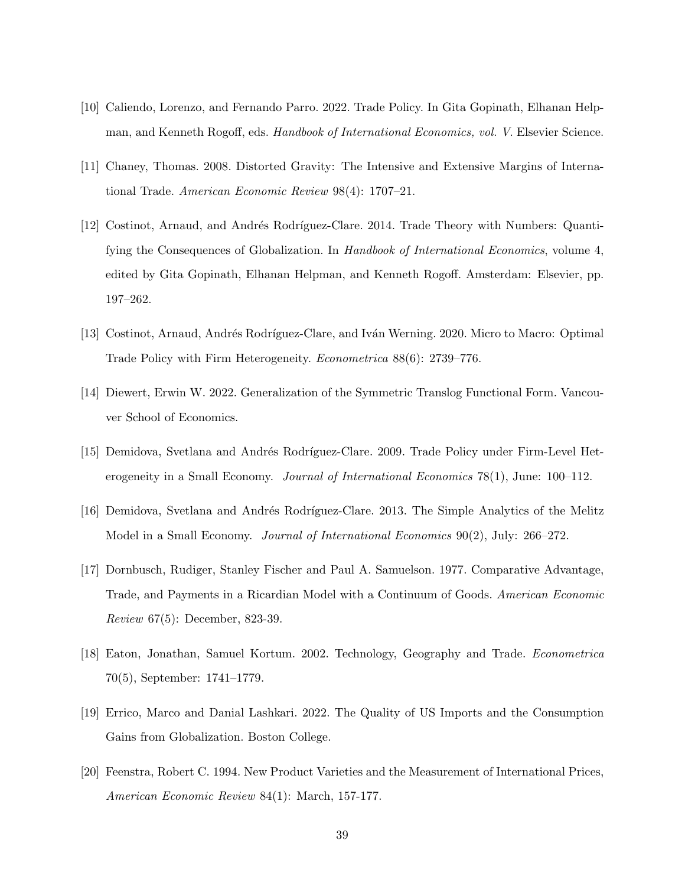- [10] Caliendo, Lorenzo, and Fernando Parro. 2022. Trade Policy. In Gita Gopinath, Elhanan Helpman, and Kenneth Rogoff, eds. Handbook of International Economics, vol. V. Elsevier Science.
- [11] Chaney, Thomas. 2008. Distorted Gravity: The Intensive and Extensive Margins of International Trade. American Economic Review 98(4): 1707–21.
- [12] Costinot, Arnaud, and Andrés Rodríguez-Clare. 2014. Trade Theory with Numbers: Quantifying the Consequences of Globalization. In Handbook of International Economics, volume 4, edited by Gita Gopinath, Elhanan Helpman, and Kenneth Rogoff. Amsterdam: Elsevier, pp. 197–262.
- [13] Costinot, Arnaud, Andrés Rodríguez-Clare, and Iván Werning. 2020. Micro to Macro: Optimal Trade Policy with Firm Heterogeneity. Econometrica 88(6): 2739–776.
- [14] Diewert, Erwin W. 2022. Generalization of the Symmetric Translog Functional Form. Vancouver School of Economics.
- [15] Demidova, Svetlana and Andrés Rodríguez-Clare. 2009. Trade Policy under Firm-Level Heterogeneity in a Small Economy. *Journal of International Economics* 78(1), June: 100–112.
- [16] Demidova, Svetlana and Andrés Rodríguez-Clare. 2013. The Simple Analytics of the Melitz Model in a Small Economy. Journal of International Economics 90(2), July: 266–272.
- [17] Dornbusch, Rudiger, Stanley Fischer and Paul A. Samuelson. 1977. Comparative Advantage, Trade, and Payments in a Ricardian Model with a Continuum of Goods. American Economic Review 67(5): December, 823-39.
- [18] Eaton, Jonathan, Samuel Kortum. 2002. Technology, Geography and Trade. Econometrica 70(5), September: 1741–1779.
- [19] Errico, Marco and Danial Lashkari. 2022. The Quality of US Imports and the Consumption Gains from Globalization. Boston College.
- [20] Feenstra, Robert C. 1994. New Product Varieties and the Measurement of International Prices, American Economic Review 84(1): March, 157-177.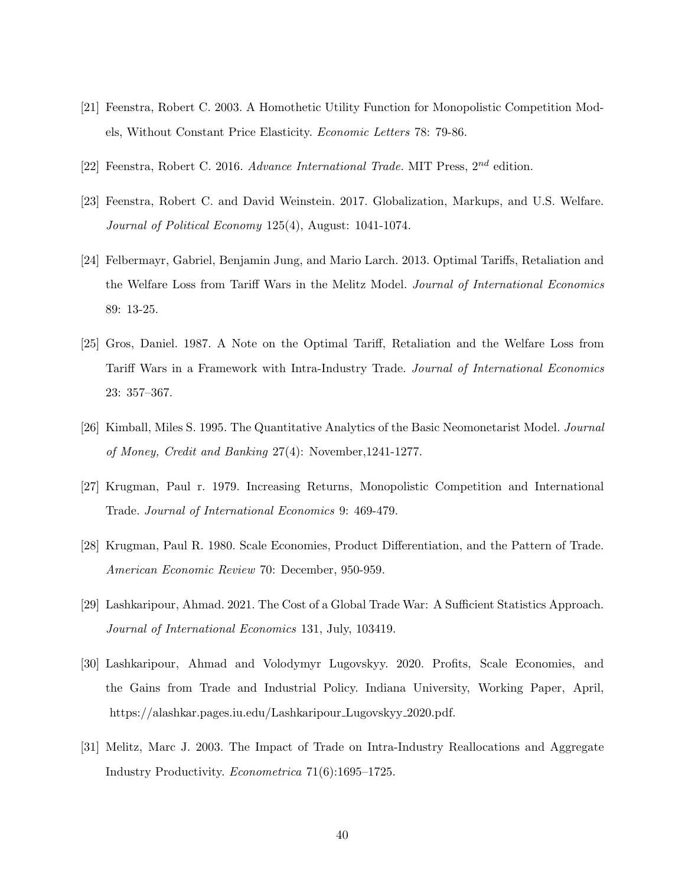- [21] Feenstra, Robert C. 2003. A Homothetic Utility Function for Monopolistic Competition Models, Without Constant Price Elasticity. Economic Letters 78: 79-86.
- [22] Feenstra, Robert C. 2016. Advance International Trade. MIT Press,  $2^{nd}$  edition.
- [23] Feenstra, Robert C. and David Weinstein. 2017. Globalization, Markups, and U.S. Welfare. Journal of Political Economy 125(4), August: 1041-1074.
- [24] Felbermayr, Gabriel, Benjamin Jung, and Mario Larch. 2013. Optimal Tariffs, Retaliation and the Welfare Loss from Tariff Wars in the Melitz Model. Journal of International Economics 89: 13-25.
- [25] Gros, Daniel. 1987. A Note on the Optimal Tariff, Retaliation and the Welfare Loss from Tariff Wars in a Framework with Intra-Industry Trade. Journal of International Economics 23: 357–367.
- [26] Kimball, Miles S. 1995. The Quantitative Analytics of the Basic Neomonetarist Model. Journal of Money, Credit and Banking 27(4): November,1241-1277.
- [27] Krugman, Paul r. 1979. Increasing Returns, Monopolistic Competition and International Trade. Journal of International Economics 9: 469-479.
- [28] Krugman, Paul R. 1980. Scale Economies, Product Differentiation, and the Pattern of Trade. American Economic Review 70: December, 950-959.
- [29] Lashkaripour, Ahmad. 2021. The Cost of a Global Trade War: A Sufficient Statistics Approach. Journal of International Economics 131, July, 103419.
- [30] Lashkaripour, Ahmad and Volodymyr Lugovskyy. 2020. Profits, Scale Economies, and the Gains from Trade and Industrial Policy. Indiana University, Working Paper, April, https://alashkar.pages.iu.edu/Lashkaripour Lugovskyy 2020.pdf.
- [31] Melitz, Marc J. 2003. The Impact of Trade on Intra-Industry Reallocations and Aggregate Industry Productivity. Econometrica 71(6):1695–1725.